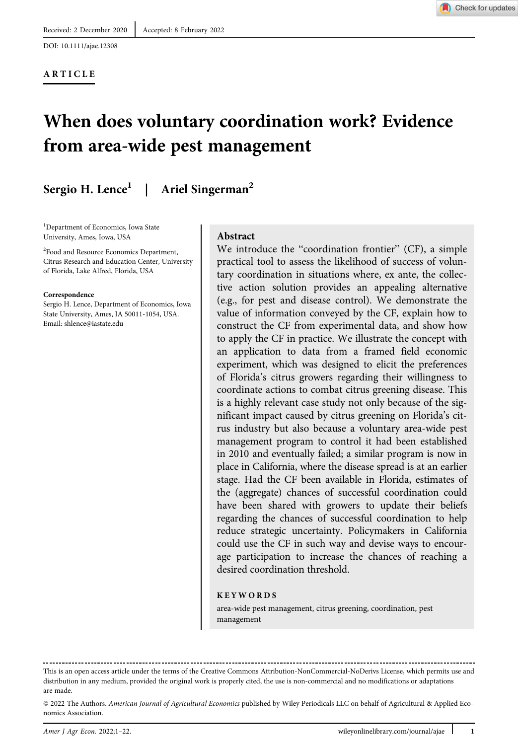DOI: 10.1111/ajae.12308

#### ARTICLE



# When does voluntary coordination work? Evidence from area-wide pest management

# Sergio H. Lence<sup>1</sup> | Ariel Singerman<sup>2</sup>

<sup>1</sup>Department of Economics, Iowa State University, Ames, Iowa, USA

2 Food and Resource Economics Department, Citrus Research and Education Center, University of Florida, Lake Alfred, Florida, USA

#### Correspondence

Sergio H. Lence, Department of Economics, Iowa State University, Ames, IA 50011-1054, USA. Email: [shlence@iastate.edu](mailto:shlence@iastate.edu)

#### Abstract

We introduce the "coordination frontier" (CF), a simple practical tool to assess the likelihood of success of voluntary coordination in situations where, ex ante, the collective action solution provides an appealing alternative (e.g., for pest and disease control). We demonstrate the value of information conveyed by the CF, explain how to construct the CF from experimental data, and show how to apply the CF in practice. We illustrate the concept with an application to data from a framed field economic experiment, which was designed to elicit the preferences of Florida's citrus growers regarding their willingness to coordinate actions to combat citrus greening disease. This is a highly relevant case study not only because of the significant impact caused by citrus greening on Florida's citrus industry but also because a voluntary area-wide pest management program to control it had been established in 2010 and eventually failed; a similar program is now in place in California, where the disease spread is at an earlier stage. Had the CF been available in Florida, estimates of the (aggregate) chances of successful coordination could have been shared with growers to update their beliefs regarding the chances of successful coordination to help reduce strategic uncertainty. Policymakers in California could use the CF in such way and devise ways to encourage participation to increase the chances of reaching a desired coordination threshold.

#### KEYWORDS

area-wide pest management, citrus greening, coordination, pest management

This is an open access article under the terms of the [Creative Commons Attribution-NonCommercial-NoDerivs](http://creativecommons.org/licenses/by-nc-nd/4.0/) License, which permits use and distribution in any medium, provided the original work is properly cited, the use is non-commercial and no modifications or adaptations are made.

<sup>© 2022</sup> The Authors. American Journal of Agricultural Economics published by Wiley Periodicals LLC on behalf of Agricultural & Applied Economics Association.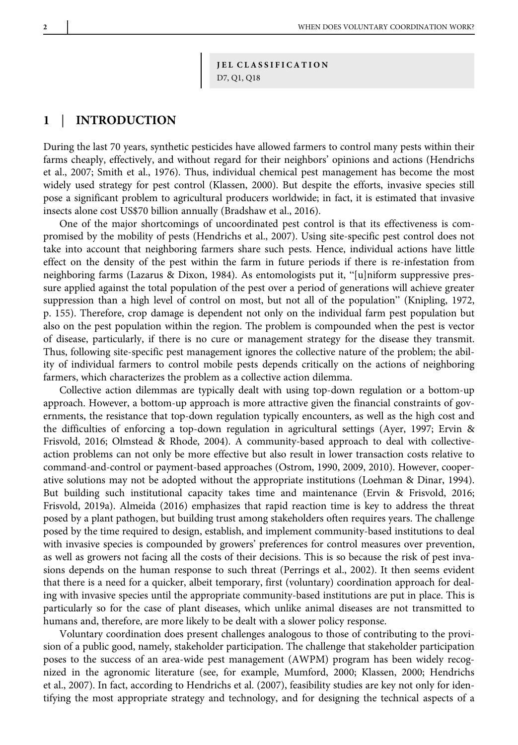JEL CLASSIFICATION D7, Q1, Q18

## 1 | INTRODUCTION

During the last 70 years, synthetic pesticides have allowed farmers to control many pests within their farms cheaply, effectively, and without regard for their neighbors' opinions and actions (Hendrichs et al., 2007; Smith et al., 1976). Thus, individual chemical pest management has become the most widely used strategy for pest control (Klassen, 2000). But despite the efforts, invasive species still pose a significant problem to agricultural producers worldwide; in fact, it is estimated that invasive insects alone cost US\$70 billion annually (Bradshaw et al., 2016).

One of the major shortcomings of uncoordinated pest control is that its effectiveness is compromised by the mobility of pests (Hendrichs et al., 2007). Using site-specific pest control does not take into account that neighboring farmers share such pests. Hence, individual actions have little effect on the density of the pest within the farm in future periods if there is re-infestation from neighboring farms (Lazarus & Dixon, 1984). As entomologists put it, "[u]niform suppressive pressure applied against the total population of the pest over a period of generations will achieve greater suppression than a high level of control on most, but not all of the population" (Knipling, 1972, p. 155). Therefore, crop damage is dependent not only on the individual farm pest population but also on the pest population within the region. The problem is compounded when the pest is vector of disease, particularly, if there is no cure or management strategy for the disease they transmit. Thus, following site-specific pest management ignores the collective nature of the problem; the ability of individual farmers to control mobile pests depends critically on the actions of neighboring farmers, which characterizes the problem as a collective action dilemma.

Collective action dilemmas are typically dealt with using top-down regulation or a bottom-up approach. However, a bottom-up approach is more attractive given the financial constraints of governments, the resistance that top-down regulation typically encounters, as well as the high cost and the difficulties of enforcing a top-down regulation in agricultural settings (Ayer, 1997; Ervin & Frisvold, 2016; Olmstead & Rhode, 2004). A community-based approach to deal with collectiveaction problems can not only be more effective but also result in lower transaction costs relative to command-and-control or payment-based approaches (Ostrom, 1990, 2009, 2010). However, cooperative solutions may not be adopted without the appropriate institutions (Loehman & Dinar, 1994). But building such institutional capacity takes time and maintenance (Ervin & Frisvold, 2016; Frisvold, 2019a). Almeida (2016) emphasizes that rapid reaction time is key to address the threat posed by a plant pathogen, but building trust among stakeholders often requires years. The challenge posed by the time required to design, establish, and implement community-based institutions to deal with invasive species is compounded by growers' preferences for control measures over prevention, as well as growers not facing all the costs of their decisions. This is so because the risk of pest invasions depends on the human response to such threat (Perrings et al., 2002). It then seems evident that there is a need for a quicker, albeit temporary, first (voluntary) coordination approach for dealing with invasive species until the appropriate community-based institutions are put in place. This is particularly so for the case of plant diseases, which unlike animal diseases are not transmitted to humans and, therefore, are more likely to be dealt with a slower policy response.

Voluntary coordination does present challenges analogous to those of contributing to the provision of a public good, namely, stakeholder participation. The challenge that stakeholder participation poses to the success of an area-wide pest management (AWPM) program has been widely recognized in the agronomic literature (see, for example, Mumford, 2000; Klassen, 2000; Hendrichs et al., 2007). In fact, according to Hendrichs et al. (2007), feasibility studies are key not only for identifying the most appropriate strategy and technology, and for designing the technical aspects of a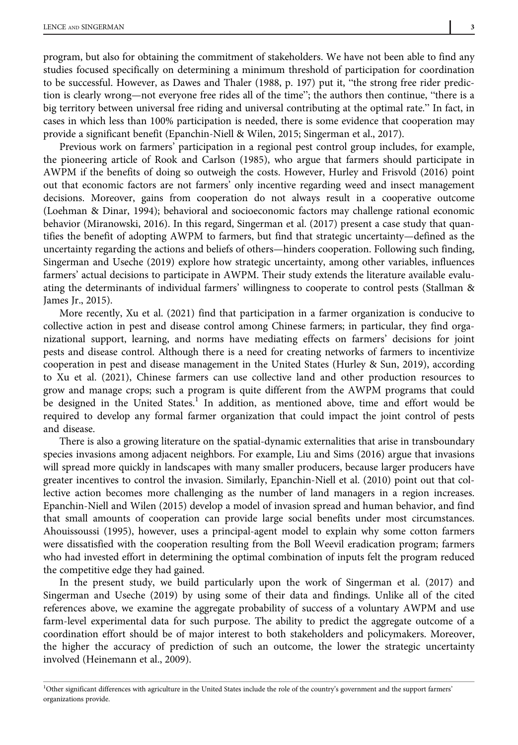program, but also for obtaining the commitment of stakeholders. We have not been able to find any studies focused specifically on determining a minimum threshold of participation for coordination to be successful. However, as Dawes and Thaler (1988, p. 197) put it, "the strong free rider prediction is clearly wrong—not everyone free rides all of the time"; the authors then continue, "there is a big territory between universal free riding and universal contributing at the optimal rate." In fact, in cases in which less than 100% participation is needed, there is some evidence that cooperation may provide a significant benefit (Epanchin-Niell & Wilen, 2015; Singerman et al., 2017).

Previous work on farmers' participation in a regional pest control group includes, for example, the pioneering article of Rook and Carlson (1985), who argue that farmers should participate in AWPM if the benefits of doing so outweigh the costs. However, Hurley and Frisvold (2016) point out that economic factors are not farmers' only incentive regarding weed and insect management decisions. Moreover, gains from cooperation do not always result in a cooperative outcome (Loehman & Dinar, 1994); behavioral and socioeconomic factors may challenge rational economic behavior (Miranowski, 2016). In this regard, Singerman et al. (2017) present a case study that quantifies the benefit of adopting AWPM to farmers, but find that strategic uncertainty—defined as the uncertainty regarding the actions and beliefs of others—hinders cooperation. Following such finding, Singerman and Useche (2019) explore how strategic uncertainty, among other variables, influences farmers' actual decisions to participate in AWPM. Their study extends the literature available evaluating the determinants of individual farmers' willingness to cooperate to control pests (Stallman & James Jr., 2015).

More recently, Xu et al. (2021) find that participation in a farmer organization is conducive to collective action in pest and disease control among Chinese farmers; in particular, they find organizational support, learning, and norms have mediating effects on farmers' decisions for joint pests and disease control. Although there is a need for creating networks of farmers to incentivize cooperation in pest and disease management in the United States (Hurley & Sun, 2019), according to Xu et al. (2021), Chinese farmers can use collective land and other production resources to grow and manage crops; such a program is quite different from the AWPM programs that could be designed in the United States.<sup>1</sup> In addition, as mentioned above, time and effort would be required to develop any formal farmer organization that could impact the joint control of pests and disease.

There is also a growing literature on the spatial-dynamic externalities that arise in transboundary species invasions among adjacent neighbors. For example, Liu and Sims (2016) argue that invasions will spread more quickly in landscapes with many smaller producers, because larger producers have greater incentives to control the invasion. Similarly, Epanchin-Niell et al. (2010) point out that collective action becomes more challenging as the number of land managers in a region increases. Epanchin-Niell and Wilen (2015) develop a model of invasion spread and human behavior, and find that small amounts of cooperation can provide large social benefits under most circumstances. Ahouissoussi (1995), however, uses a principal-agent model to explain why some cotton farmers were dissatisfied with the cooperation resulting from the Boll Weevil eradication program; farmers who had invested effort in determining the optimal combination of inputs felt the program reduced the competitive edge they had gained.

In the present study, we build particularly upon the work of Singerman et al. (2017) and Singerman and Useche (2019) by using some of their data and findings. Unlike all of the cited references above, we examine the aggregate probability of success of a voluntary AWPM and use farm-level experimental data for such purpose. The ability to predict the aggregate outcome of a coordination effort should be of major interest to both stakeholders and policymakers. Moreover, the higher the accuracy of prediction of such an outcome, the lower the strategic uncertainty involved (Heinemann et al., 2009).

<sup>&</sup>lt;sup>1</sup>Other significant differences with agriculture in the United States include the role of the country's government and the support farmers' organizations provide.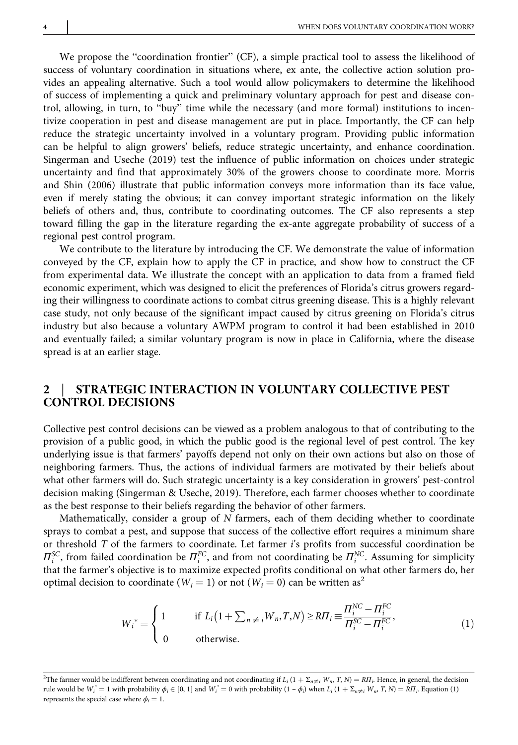We propose the "coordination frontier" (CF), a simple practical tool to assess the likelihood of success of voluntary coordination in situations where, ex ante, the collective action solution provides an appealing alternative. Such a tool would allow policymakers to determine the likelihood of success of implementing a quick and preliminary voluntary approach for pest and disease control, allowing, in turn, to "buy" time while the necessary (and more formal) institutions to incentivize cooperation in pest and disease management are put in place. Importantly, the CF can help reduce the strategic uncertainty involved in a voluntary program. Providing public information can be helpful to align growers' beliefs, reduce strategic uncertainty, and enhance coordination. Singerman and Useche (2019) test the influence of public information on choices under strategic uncertainty and find that approximately 30% of the growers choose to coordinate more. Morris and Shin (2006) illustrate that public information conveys more information than its face value, even if merely stating the obvious; it can convey important strategic information on the likely beliefs of others and, thus, contribute to coordinating outcomes. The CF also represents a step toward filling the gap in the literature regarding the ex-ante aggregate probability of success of a regional pest control program.

We contribute to the literature by introducing the CF. We demonstrate the value of information conveyed by the CF, explain how to apply the CF in practice, and show how to construct the CF from experimental data. We illustrate the concept with an application to data from a framed field economic experiment, which was designed to elicit the preferences of Florida's citrus growers regarding their willingness to coordinate actions to combat citrus greening disease. This is a highly relevant case study, not only because of the significant impact caused by citrus greening on Florida's citrus industry but also because a voluntary AWPM program to control it had been established in 2010 and eventually failed; a similar voluntary program is now in place in California, where the disease spread is at an earlier stage.

## STRATEGIC INTERACTION IN VOLUNTARY COLLECTIVE PEST CONTROL DECISIONS

Collective pest control decisions can be viewed as a problem analogous to that of contributing to the provision of a public good, in which the public good is the regional level of pest control. The key underlying issue is that farmers' payoffs depend not only on their own actions but also on those of neighboring farmers. Thus, the actions of individual farmers are motivated by their beliefs about what other farmers will do. Such strategic uncertainty is a key consideration in growers' pest-control decision making (Singerman & Useche, 2019). Therefore, each farmer chooses whether to coordinate as the best response to their beliefs regarding the behavior of other farmers.

Mathematically, consider a group of  $N$  farmers, each of them deciding whether to coordinate sprays to combat a pest, and suppose that success of the collective effort requires a minimum share or threshold T of the farmers to coordinate. Let farmer i's profits from successful coordination be  $\Pi_i^{\text{SC}}$ , from failed coordination be  $\Pi_i^{\text{FC}}$ , and from not coordinating be  $\Pi_i^{\text{NC}}$ . Assuming for simplicity that the farmer's objective is to maximize expected profits conditional on what other farmers do, her optimal decision to coordinate ( $W_i = 1$ ) or not ( $W_i = 0$ ) can be written as<sup>2</sup>

$$
W_i^* = \begin{cases} 1 & \text{if } L_i\left(1 + \sum_{n \neq i} W_n, T, N\right) \geq R\prod_i \equiv \frac{\prod_i^{NC} - \prod_i^{FC}}{\prod_i^{SC} - \prod_i^{FC}},\\ 0 & \text{otherwise.} \end{cases} \tag{1}
$$

<sup>&</sup>lt;sup>2</sup>The farmer would be indifferent between coordinating and not coordinating if  $L_i$  (1 +  $\Sigma_{n\neq i}$  W<sub>n</sub>, T, N) = R $\Pi_i$ . Hence, in general, the decision rule would be  $W_i^* = 1$  with probability  $\phi_i \in [0, 1]$  and  $W_i^* = 0$  with probability  $(1 - \phi_i)$  when  $L_i (1 + \Sigma_{n \neq i} W_m T, N) = R\Pi_i$ . Equation (1) represents the special case where  $\phi_i = 1$ .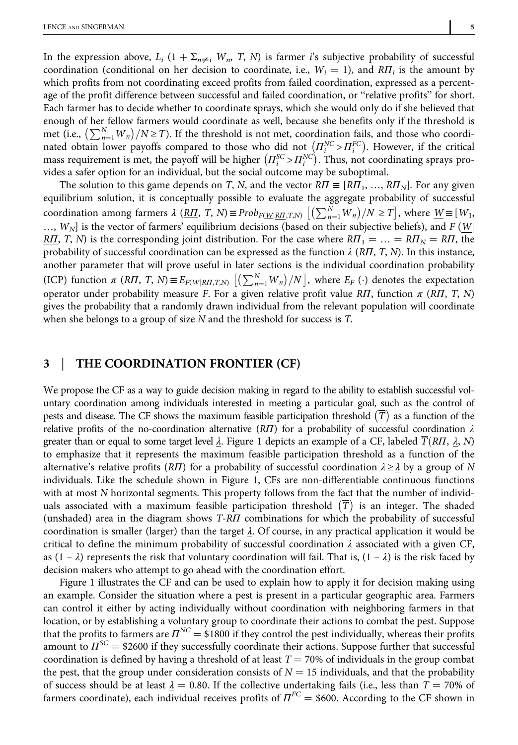In the expression above,  $L_i$  (1 +  $\Sigma_{n\neq i}$  W<sub>n</sub>, T, N) is farmer i's subjective probability of successful coordination (conditional on her decision to coordinate, i.e.,  $W_i = 1$ ), and  $R\Pi_i$  is the amount by which profits from not coordinating exceed profits from failed coordination, expressed as a percentage of the profit difference between successful and failed coordination, or "relative profits" for short. Each farmer has to decide whether to coordinate sprays, which she would only do if she believed that enough of her fellow farmers would coordinate as well, because she benefits only if the threshold is met (i.e.,  $\left(\sum_{n=1}^{N}W_n\right)/N \geq T$ ). If the threshold is not met, coordination fails, and those who coordinated obtain lower payoffs compared to those who did not  $\left(\prod_{i=1}^{N_C} \frac{1}{i}\right)$ . However, if the critical mass requirement is met, the payoff will be higher  $(\Pi_i^{SC} > \Pi_i^{NC})$ . Thus, not coordinating sprays provides a safer option for an individual, but the social outcome may be suboptimal.

The solution to this game depends on T, N, and the vector  $R_{\text{II}} \equiv [R_{\text{II}}_1, ..., R_{\text{II}}_N]$ . For any given equilibrium solution, it is conceptually possible to evaluate the aggregate probability of successful coordination among farmers  $\lambda$  ( $\underline{R}\overline{\Pi}$ , T, N)  $\equiv Prob_{F(\underline{W}|\underline{R}\overline{\Pi},T,N)}$   $\left[\left(\sum_{n=1}^{N}W_n\right)/N \geq T\right]$ , where  $\underline{W} \equiv [W_1,$  $...,$   $W_N$ ] is the vector of farmers' equilibrium decisions (based on their subjective beliefs), and F (W|) RΠ, T, N) is the corresponding joint distribution. For the case where  $R\Pi_1 = \ldots = R\Pi_N = R\Pi$ , the probability of successful coordination can be expressed as the function  $\lambda$  (RIT, T, N). In this instance, another parameter that will prove useful in later sections is the individual coordination probability (ICP) function  $\pi$  (R*II*, T, N)  $\equiv E_{F(W|R\Pi,T,N)}$   $[(\sum_{n=1}^{N}W_n)/N]$ , where  $E_F(\cdot)$  denotes the expectation operator under probability measure F. For a given relative profit value RΠ, function  $\pi$  (RΠ, T, N) gives the probability that a randomly drawn individual from the relevant population will coordinate when she belongs to a group of size N and the threshold for success is T.

#### 3 | THE COORDINATION FRONTIER (CF)

We propose the CF as a way to guide decision making in regard to the ability to establish successful voluntary coordination among individuals interested in meeting a particular goal, such as the control of pests and disease. The CF shows the maximum feasible participation threshold  $(\overline{T})$  as a function of the relative profits of the no-coordination alternative (RΠ) for a probability of successful coordination  $\lambda$ greater than or equal to some target level  $\lambda$ . Figure 1 depicts an example of a CF, labeled  $T(R\Pi, \lambda, N)$ to emphasize that it represents the maximum feasible participation threshold as a function of the alternative's relative profits (RΠ) for a probability of successful coordination  $\lambda \ge \lambda$  by a group of N individuals. Like the schedule shown in Figure 1, CFs are non-differentiable continuous functions with at most N horizontal segments. This property follows from the fact that the number of individuals associated with a maximum feasible participation threshold  $(\overline{T})$  is an integer. The shaded (unshaded) area in the diagram shows T-RΠ combinations for which the probability of successful coordination is smaller (larger) than the target  $\lambda$ . Of course, in any practical application it would be critical to define the minimum probability of successful coordination  $\lambda$  associated with a given CF, as  $(1 - \lambda)$  represents the risk that voluntary coordination will fail. That is,  $(1 - \lambda)$  is the risk faced by decision makers who attempt to go ahead with the coordination effort.

Figure 1 illustrates the CF and can be used to explain how to apply it for decision making using an example. Consider the situation where a pest is present in a particular geographic area. Farmers can control it either by acting individually without coordination with neighboring farmers in that location, or by establishing a voluntary group to coordinate their actions to combat the pest. Suppose that the profits to farmers are  $\Pi^{NC}$  = \$1800 if they control the pest individually, whereas their profits amount to  $\Pi^{\text{SC}} = $2600$  if they successfully coordinate their actions. Suppose further that successful coordination is defined by having a threshold of at least  $T = 70\%$  of individuals in the group combat the pest, that the group under consideration consists of  $N = 15$  individuals, and that the probability of success should be at least  $\lambda = 0.80$ . If the collective undertaking fails (i.e., less than  $T = 70\%$  of farmers coordinate), each individual receives profits of  $\Pi^{FC} = $600$ . According to the CF shown in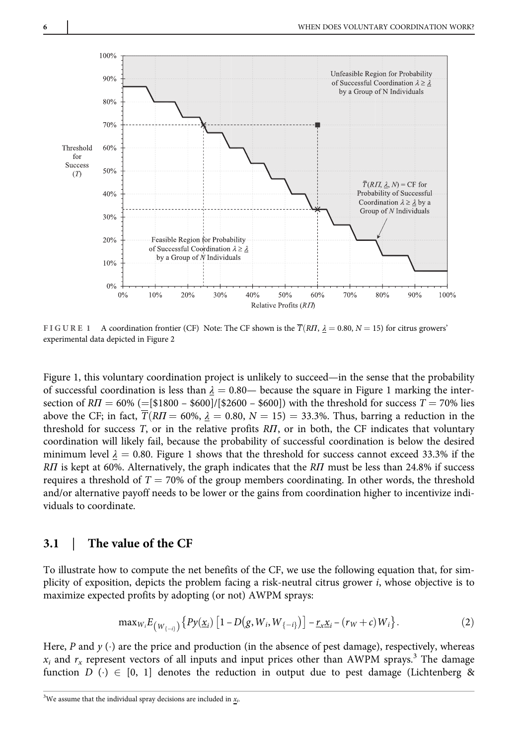

FIGURE 1 A coordination frontier (CF) Note: The CF shown is the  $\overline{T}(R\Pi, \lambda = 0.80, N = 15)$  for citrus growers' experimental data depicted in Figure 2

Figure 1, this voluntary coordination project is unlikely to succeed—in the sense that the probability of successful coordination is less than  $\lambda = 0.80$ — because the square in Figure 1 marking the intersection of  $RT = 60\%$  (=[\$1800 – \$600]/[\$2600 – \$600]) with the threshold for success  $T = 70\%$  lies above the CF; in fact,  $\overline{T}(RT = 60\%, \lambda = 0.80, N = 15) = 33.3\%$ . Thus, barring a reduction in the threshold for success T, or in the relative profits RΠ, or in both, the CF indicates that voluntary coordination will likely fail, because the probability of successful coordination is below the desired minimum level  $\lambda = 0.80$ . Figure 1 shows that the threshold for success cannot exceed 33.3% if the RΠ is kept at 60%. Alternatively, the graph indicates that the RΠ must be less than 24.8% if success requires a threshold of  $T = 70\%$  of the group members coordinating. In other words, the threshold and/or alternative payoff needs to be lower or the gains from coordination higher to incentivize individuals to coordinate.

#### 3.1 | The value of the CF

To illustrate how to compute the net benefits of the CF, we use the following equation that, for simplicity of exposition, depicts the problem facing a risk-neutral citrus grower i, whose objective is to maximize expected profits by adopting (or not) AWPM sprays:

$$
\max_{W_i} E_{\left(W_{\{-i\}}\right)} \left\{ P y(\underline{x}_i) \left[1 - D\left(g, W_i, W_{\{-i\}}\right)\right] - \underline{r}_x \underline{x}_i - \left(r_W + c\right) W_i \right\}.
$$
 (2)

Here, P and  $y(\cdot)$  are the price and production (in the absence of pest damage), respectively, whereas  $x_i$  and  $r_x$  represent vectors of all inputs and input prices other than AWPM sprays.<sup>3</sup> The damage function  $D$  ( $\cdot$ )  $\in$  [0, 1] denotes the reduction in output due to pest damage (Lichtenberg &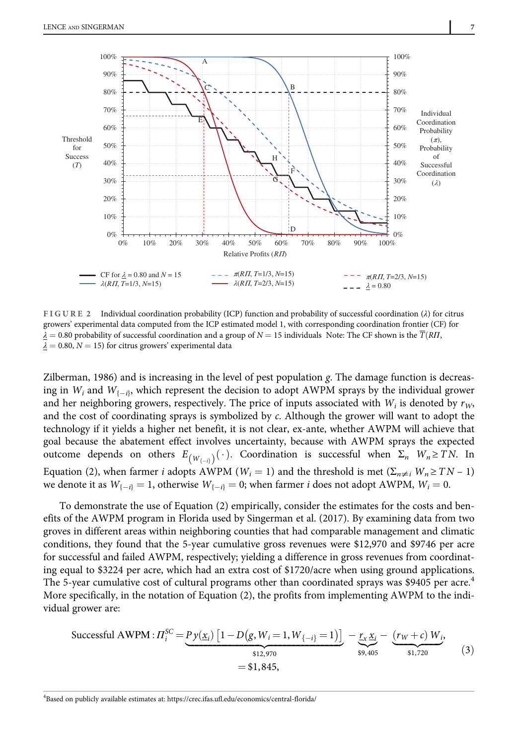

FIGURE 2 Individual coordination probability (ICP) function and probability of successful coordination (λ) for citrus growers' experimental data computed from the ICP estimated model 1, with corresponding coordination frontier (CF) for  $\lambda = 0.80$  probability of successful coordination and a group of  $N = 15$  individuals Note: The CF shown is the  $\overline{T}(RH)$ ,  $\lambda = 0.80, N = 15$ ) for citrus growers' experimental data

Zilberman, 1986) and is increasing in the level of pest population  $g$ . The damage function is decreasing in  $W_i$  and  $W_{i-i}$ , which represent the decision to adopt AWPM sprays by the individual grower and her neighboring growers, respectively. The price of inputs associated with  $W_i$  is denoted by  $r_W$ , and the cost of coordinating sprays is symbolized by c. Although the grower will want to adopt the technology if it yields a higher net benefit, it is not clear, ex-ante, whether AWPM will achieve that goal because the abatement effect involves uncertainty, because with AWPM sprays the expected outcome depends on others  $E_{(W_{\{\dots\}})}(\cdot)$ . Coordination is successful when  $\Sigma_n$   $W_n \geq T N$ . In Equation (2), when farmer *i* adopts AWPM ( $W_i = 1$ ) and the threshold is met ( $\Sigma_{n \neq i} W_n \geq TN - 1$ ) we denote it as  $W_{i-i} = 1$ , otherwise  $W_{i-i} = 0$ ; when farmer *i* does not adopt AWPM,  $W_i = 0$ .

To demonstrate the use of Equation (2) empirically, consider the estimates for the costs and benefits of the AWPM program in Florida used by Singerman et al. (2017). By examining data from two groves in different areas within neighboring counties that had comparable management and climatic conditions, they found that the 5-year cumulative gross revenues were \$12,970 and \$9746 per acre for successful and failed AWPM, respectively; yielding a difference in gross revenues from coordinating equal to \$3224 per acre, which had an extra cost of \$1720/acre when using ground applications. The 5-year cumulative cost of cultural programs other than coordinated sprays was \$9405 per acre.<sup>4</sup> More specifically, in the notation of Equation (2), the profits from implementing AWPM to the individual grower are:

$$
\text{Successful AWPM}: \Pi_i^{\text{SC}} = \underbrace{P \, y(\underline{x}_i) \left[ 1 - D(g, W_i = 1, W_{\{-i\}} = 1) \right]}_{\text{$\$12,970$}} - \underbrace{\underline{r}_x \, \underline{x}_i}_{\text{$\$9,405$}} - \underbrace{(r_W + c) \, W_i}_{\text{$\$1,720$}},
$$
\n
$$
= \$1,845,
$$
\n
$$
(3)
$$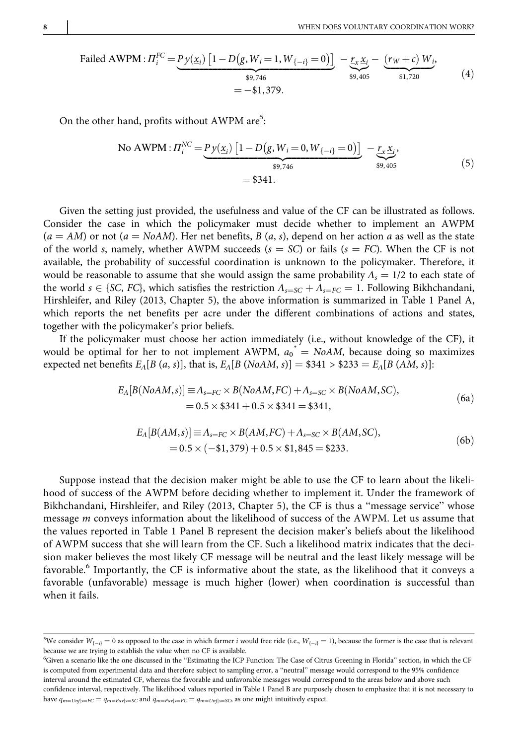Field AWPM: 
$$
\Pi_{i}^{FC} = \underbrace{Py(\underline{x}_{i}) \left[1 - D(g, W_{i} = 1, W_{\{-i\}} = 0)\right]}_{\$9,746} - \underbrace{rx \underline{x}_{i}}_{\$9,405} - \underbrace{(r_{W} + c) W_{i}}_{\$1,720},
$$
\n(4)

\n
$$
= -\$1,379.
$$

On the other hand, profits without AWPM are<sup>5</sup>:

No AWPM : 
$$
\Pi_i^{NC} = \underbrace{Py(\underline{x}_i) [1 - D(g, W_i = 0, W_{\{-i\}} = 0)]}_{\$9,746} - \underbrace{r_x \underline{x}_i}_{\$9,405},
$$
 (5)  
= \$341.

Given the setting just provided, the usefulness and value of the CF can be illustrated as follows. Consider the case in which the policymaker must decide whether to implement an AWPM  $(a = AM)$  or not  $(a = NoAM)$ . Her net benefits, B  $(a, s)$ , depend on her action a as well as the state of the world s, namely, whether AWPM succeeds ( $s = SC$ ) or fails ( $s = FC$ ). When the CF is not available, the probability of successful coordination is unknown to the policymaker. Therefore, it would be reasonable to assume that she would assign the same probability  $\Lambda_s = 1/2$  to each state of the world  $s \in \{SC, FC\}$ , which satisfies the restriction  $\Lambda_{s=SC} + \Lambda_{s=FC} = 1$ . Following Bikhchandani, Hirshleifer, and Riley (2013, Chapter 5), the above information is summarized in Table 1 Panel A, which reports the net benefits per acre under the different combinations of actions and states, together with the policymaker's prior beliefs.

If the policymaker must choose her action immediately (i.e., without knowledge of the CF), it would be optimal for her to not implement AWPM,  $a_0^* = N_0A M$ , because doing so maximizes expected net benefits  $E_A[B(a, s)]$ , that is,  $E_A[B(NoAM, s)] = $341 > $233 = E_A[B(AM, s)]$ :

$$
E_{\Lambda}[B(NoAM, s)] \equiv \Lambda_{s=FC} \times B(NoAM, FC) + \Lambda_{s=SC} \times B(NoAM, SC),
$$
  
= 0.5 × \$341 + 0.5 × \$341 = \$341, (6a)

$$
E_{A}[B(AM,s)] \equiv \Lambda_{s=FC} \times B(AM,FC) + \Lambda_{s=SC} \times B(AM,SC),
$$
  
= 0.5 \times (-\\$1,379) + 0.5 \times \\$1,845 = \\$233. (6b)

Suppose instead that the decision maker might be able to use the CF to learn about the likelihood of success of the AWPM before deciding whether to implement it. Under the framework of Bikhchandani, Hirshleifer, and Riley (2013, Chapter 5), the CF is thus a "message service" whose message m conveys information about the likelihood of success of the AWPM. Let us assume that the values reported in Table 1 Panel B represent the decision maker's beliefs about the likelihood of AWPM success that she will learn from the CF. Such a likelihood matrix indicates that the decision maker believes the most likely CF message will be neutral and the least likely message will be favorable.<sup>6</sup> Importantly, the CF is informative about the state, as the likelihood that it conveys a favorable (unfavorable) message is much higher (lower) when coordination is successful than when it fails.

 $^{5}$ We consider  $W_{\{-i\}} = 0$  as opposed to the case in which farmer i would free ride (i.e.,  $W_{\{-i\}} = 1$ ), because the former is the case that is relevant because we are trying to establish the value when no CF is available.

<sup>6</sup> Given a scenario like the one discussed in the "Estimating the ICP Function: The Case of Citrus Greening in Florida" section, in which the CF is computed from experimental data and therefore subject to sampling error, a "neutral" message would correspond to the 95% confidence interval around the estimated CF, whereas the favorable and unfavorable messages would correspond to the areas below and above such confidence interval, respectively. The likelihood values reported in Table 1 Panel B are purposely chosen to emphasize that it is not necessary to have  $q_{m=Unf|s=FC} = q_{m=Fav|s=SC}$  and  $q_{m=Far|s=FC} = q_{m=Unf|s=SC}$ , as one might intuitively expect.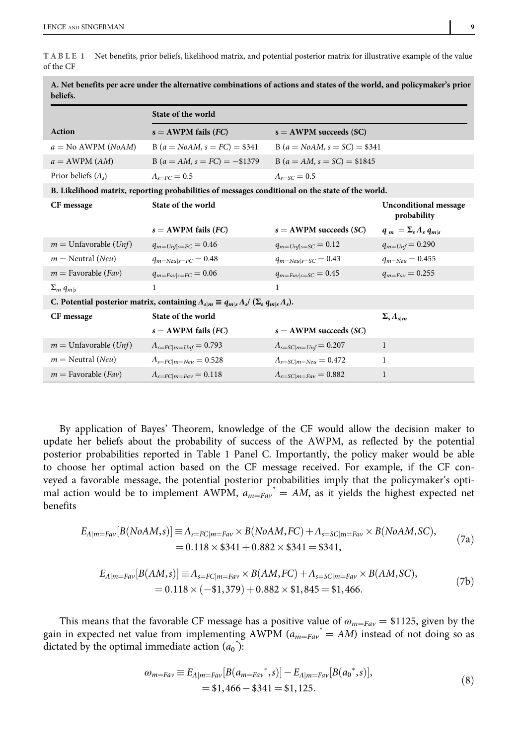TABLE 1 Net benefits, prior beliefs, likelihood matrix, and potential posterior matrix for illustrative example of the value of the CF

|                                                                                                                     | State of the world            |                                        |                                             |  |
|---------------------------------------------------------------------------------------------------------------------|-------------------------------|----------------------------------------|---------------------------------------------|--|
| <b>Action</b>                                                                                                       | $s = AWPM$ fails (FC)         | $s = AWPM$ succeeds (SC)               |                                             |  |
| $a = No$ AWPM ( <i>NoAM</i> )                                                                                       | $B(a = N_0AM, s = FC) = $341$ | B ( $a = NoAM$ , $s = SC$ ) = \$341    |                                             |  |
| $a = AWPM (AM)$                                                                                                     | $B(a = AM, s = FC) = -\$1379$ | $B(a = AM, s = SC) = $1845$            |                                             |  |
| Prior beliefs $(\Lambda_{s})$                                                                                       | $\Lambda_{\epsilon=FC}=0.5$   | $\Lambda_{\text{c} = \text{SC}} = 0.5$ |                                             |  |
| B. Likelihood matrix, reporting probabilities of messages conditional on the state of the world.                    |                               |                                        |                                             |  |
| CF message                                                                                                          | State of the world            |                                        | <b>Unconditional message</b><br>probability |  |
|                                                                                                                     | $s = AWPM$ fails (FC)         | $s = AWPM$ succeeds (SC)               | $q_m = \sum_{s} \Lambda_s q_{m s}$          |  |
| $m =$ Unfavorable ( <i>Unf</i> )                                                                                    | $q_{m=Unf s=FC} = 0.46$       | $q_{m=Unf s=SC} = 0.12$                | $q_{m=Unf} = 0.290$                         |  |
| $m =$ Neutral (Neu)                                                                                                 | $q_{m=Neu s=FC}=0.48$         | $q_{m=Neu s=SC} = 0.43$                | $q_{m=Neu}=0.455$                           |  |
| $m =$ Favorable ( <i>Fav</i> )                                                                                      | $q_{m=Fav s=FC}=0.06$         | $q_{m=Fav s=SC} = 0.45$                | $q_{m=Fav} = 0.255$                         |  |
| $\Sigma_m q_{m s}$                                                                                                  | 1                             | 1                                      |                                             |  |
| C. Potential posterior matrix, containing $\Lambda_{s m} \equiv q_{m s} \Lambda_s / (\Sigma_s q_{m s} \Lambda_s)$ . |                               |                                        |                                             |  |
| CF message                                                                                                          | State of the world            |                                        | $\Sigma_s \Lambda_{s m}$                    |  |
|                                                                                                                     | $s = AWPM$ fails (FC)         | $s = AWPM$ succeeds (SC)               |                                             |  |
| $m =$ Unfavorable ( <i>Unf</i> )                                                                                    | $A_{s=FC m=Unf}=0.793$        | $\Lambda_{s=SC m=Unf}=0.207$           | $\mathbf{1}$                                |  |
| $m =$ Neutral ( <i>Neu</i> )                                                                                        | $A_{s=FC m=Neu}=0.528$        | $\Lambda_{s=SC m=Neu}=0.472$           | 1                                           |  |
| $m =$ Favorable ( <i>Fav</i> )                                                                                      | $A_{s=FC m=Fav}=0.118$        | $\Lambda_{s=SC m=Fav}=0.882$           | 1                                           |  |

A. Net benefits per acre under the alternative combinations of actions and states of the world, and policymaker's prior beliefs.

By application of Bayes' Theorem, knowledge of the CF would allow the decision maker to update her beliefs about the probability of success of the AWPM, as reflected by the potential posterior probabilities reported in Table 1 Panel C. Importantly, the policy maker would be able to choose her optimal action based on the CF message received. For example, if the CF conveyed a favorable message, the potential posterior probabilities imply that the policymaker's optimal action would be to implement AWPM,  $a_{m=Far}$  = AM, as it yields the highest expected net benefits

$$
E_{A|m=Fav}[B(NoAM,s)] \equiv \Lambda_{s=FC|m=Fav} \times B(NoAM,FC) + \Lambda_{s=SC|m=Fav} \times B(NoAM,SC),
$$
  
= 0.118 × \$341 + 0.882 × \$341 = \$341, (7a)

$$
E_{A|m=Fav}[B(AM,s)] \equiv A_{s=FC|m=Fav} \times B(AM,FC) + A_{s=SC|m=Fav} \times B(AM,SC),
$$
  
= 0.118 × (-\$1,379) + 0.882 × \$1,845 = \$1,466. (7b)

This means that the favorable CF message has a positive value of  $\omega_{m=Fav} = $1125$ , given by the gain in expected net value from implementing AWPM  $(a_{m=Fav}^* = AM)$  instead of not doing so as dictated by the optimal immediate action  $(a_0^*)$ :

$$
\omega_{m=Far} \equiv E_{A|m=Far} [B(a_{m=Far}^*, s)] - E_{A|m=Far} [B(a_0^*, s)],
$$
  
= \$1,466 - \$341 = \$1,125. (8)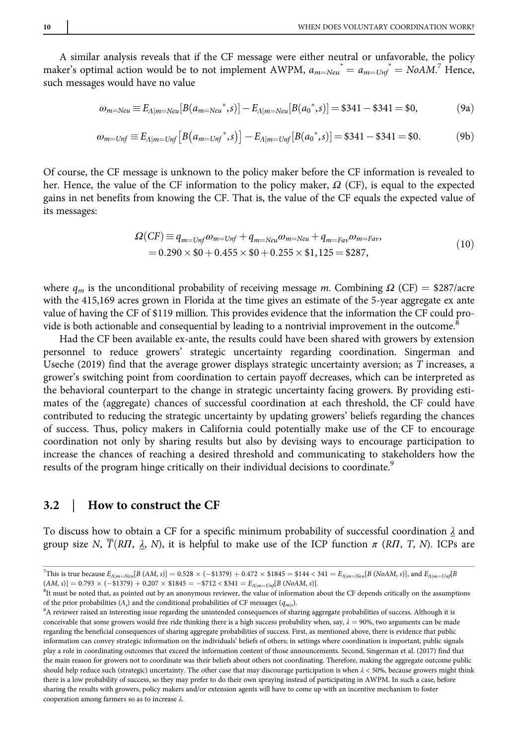A similar analysis reveals that if the CF message were either neutral or unfavorable, the policy maker's optimal action would be to not implement AWPM,  $a_{m=Neu}^* = a_{m=Unf}^* = NoAM$ . Hence, such messages would have no value

$$
\omega_{m=Neu} \equiv E_{\Lambda|m=Neu}[B(a_{m=Neu}^*,s)] - E_{\Lambda|m=Neu}[B(a_0^*,s)] = \$341 - \$341 = \$0, \tag{9a}
$$

$$
\omega_{m=Unf} \equiv E_{\Lambda|m=Unf} \left[ B(a_{m=Unf}^*, s) \right] - E_{\Lambda|m=Unf} [B(a_0^*, s)] = \$341 - \$341 = \$0. \tag{9b}
$$

Of course, the CF message is unknown to the policy maker before the CF information is revealed to her. Hence, the value of the CF information to the policy maker,  $\Omega$  (CF), is equal to the expected gains in net benefits from knowing the CF. That is, the value of the CF equals the expected value of its messages:

$$
\Omega(CF) \equiv q_{m=Unf} \omega_{m=Unf} + q_{m=Neu} \omega_{m=Neu} + q_{m=Fav} \omega_{m=Fav},
$$
  
= 0.290 × \$0 + 0.455 × \$0 + 0.255 × \$1,125 = \$287, (10)

where  $q_m$  is the unconditional probability of receiving message m. Combining  $\Omega$  (CF) = \$287/acre with the 415,169 acres grown in Florida at the time gives an estimate of the 5-year aggregate ex ante value of having the CF of \$119 million. This provides evidence that the information the CF could provide is both actionable and consequential by leading to a nontrivial improvement in the outcome.<sup>8</sup>

Had the CF been available ex-ante, the results could have been shared with growers by extension personnel to reduce growers' strategic uncertainty regarding coordination. Singerman and Useche (2019) find that the average grower displays strategic uncertainty aversion; as T increases, a grower's switching point from coordination to certain payoff decreases, which can be interpreted as the behavioral counterpart to the change in strategic uncertainty facing growers. By providing estimates of the (aggregate) chances of successful coordination at each threshold, the CF could have contributed to reducing the strategic uncertainty by updating growers' beliefs regarding the chances of success. Thus, policy makers in California could potentially make use of the CF to encourage coordination not only by sharing results but also by devising ways to encourage participation to increase the chances of reaching a desired threshold and communicating to stakeholders how the results of the program hinge critically on their individual decisions to coordinate.<sup>9</sup>

#### 3.2 | How to construct the CF

To discuss how to obtain a CF for a specific minimum probability of successful coordination  $\lambda$  and group size N,  $\overline{T}(R\Pi, \lambda, N)$ , it is helpful to make use of the ICP function  $\pi$  (R $\Pi$ , T, N). ICPs are

<sup>8</sup>It must be noted that, as pointed out by an anonymous reviewer, the value of information about the CF depends critically on the assumptions of the prior probabilities  $(\Lambda_s)$  and the conditional probabilities of CF messages ( $q_{m|s}$ ).

<sup>&</sup>lt;sup>7</sup>This is true because  $E_{A|m=Neu}[B\ (AM, s)]=0.528\times(-\$1379)+0.472\times\$1845=\$144<341=E_{A|m=Neu}[B\ (NoAM, s)]$ , and  $E_{A|m=Unf}[B\ (NoAM, s)]$  $(AM, s)$ ] = 0.793  $\times$  (-\$1379) + 0.207  $\times$  \$1845 = -\$712 < \$341 =  $E_{A|m=Unf}[B (NoAM, s)]$ .

<sup>&</sup>lt;sup>9</sup>A reviewer raised an interesting issue regarding the unintended consequences of sharing aggregate probabilities of success. Although it is conceivable that some growers would free ride thinking there is a high success probability when, say,  $\lambda = 90\%$ , two arguments can be made regarding the beneficial consequences of sharing aggregate probabilities of success. First, as mentioned above, there is evidence that public information can convey strategic information on the individuals' beliefs of others; in settings where coordination is important, public signals play a role in coordinating outcomes that exceed the information content of those announcements. Second, Singerman et al. (2017) find that the main reason for growers not to coordinate was their beliefs about others not coordinating. Therefore, making the aggregate outcome public should help reduce such (strategic) uncertainty. The other case that may discourage participation is when  $\lambda$  < 50%, because growers might think there is a low probability of success, so they may prefer to do their own spraying instead of participating in AWPM. In such a case, before sharing the results with growers, policy makers and/or extension agents will have to come up with an incentive mechanism to foster cooperation among farmers so as to increase λ.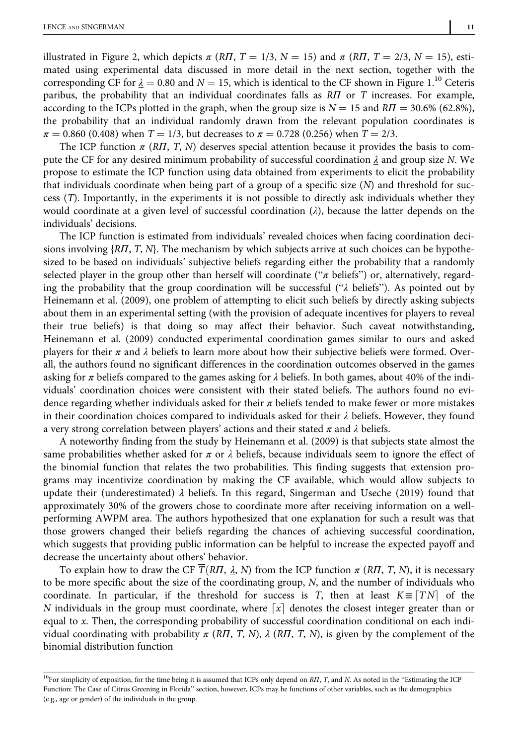illustrated in Figure 2, which depicts  $\pi (RH, T = 1/3, N = 15)$  and  $\pi (RH, T = 2/3, N = 15)$ , esti-

mated using experimental data discussed in more detail in the next section, together with the corresponding CF for  $\lambda = 0.80$  and  $N = 15$ , which is identical to the CF shown in Figure 1.<sup>10</sup> Ceteris paribus, the probability that an individual coordinates falls as RII or T increases. For example, according to the ICPs plotted in the graph, when the group size is  $N = 15$  and  $RT = 30.6\%$  (62.8%), the probability that an individual randomly drawn from the relevant population coordinates is  $\pi = 0.860$  (0.408) when  $T = 1/3$ , but decreases to  $\pi = 0.728$  (0.256) when  $T = 2/3$ .

The ICP function  $\pi$  (R*Π*, *T*, *N*) deserves special attention because it provides the basis to compute the CF for any desired minimum probability of successful coordination  $\lambda$  and group size N. We propose to estimate the ICP function using data obtained from experiments to elicit the probability that individuals coordinate when being part of a group of a specific size  $(N)$  and threshold for success (T). Importantly, in the experiments it is not possible to directly ask individuals whether they would coordinate at a given level of successful coordination  $(\lambda)$ , because the latter depends on the individuals' decisions.

The ICP function is estimated from individuals' revealed choices when facing coordination decisions involving  $\{R\Pi, T, N\}$ . The mechanism by which subjects arrive at such choices can be hypothesized to be based on individuals' subjective beliefs regarding either the probability that a randomly selected player in the group other than herself will coordinate (" $\pi$  beliefs") or, alternatively, regarding the probability that the group coordination will be successful (" $\lambda$  beliefs"). As pointed out by Heinemann et al. (2009), one problem of attempting to elicit such beliefs by directly asking subjects about them in an experimental setting (with the provision of adequate incentives for players to reveal their true beliefs) is that doing so may affect their behavior. Such caveat notwithstanding, Heinemann et al. (2009) conducted experimental coordination games similar to ours and asked players for their  $\pi$  and  $\lambda$  beliefs to learn more about how their subjective beliefs were formed. Overall, the authors found no significant differences in the coordination outcomes observed in the games asking for  $\pi$  beliefs compared to the games asking for  $\lambda$  beliefs. In both games, about 40% of the individuals' coordination choices were consistent with their stated beliefs. The authors found no evidence regarding whether individuals asked for their  $\pi$  beliefs tended to make fewer or more mistakes in their coordination choices compared to individuals asked for their  $\lambda$  beliefs. However, they found a very strong correlation between players' actions and their stated  $\pi$  and  $\lambda$  beliefs.

A noteworthy finding from the study by Heinemann et al. (2009) is that subjects state almost the same probabilities whether asked for  $\pi$  or  $\lambda$  beliefs, because individuals seem to ignore the effect of the binomial function that relates the two probabilities. This finding suggests that extension programs may incentivize coordination by making the CF available, which would allow subjects to update their (underestimated)  $\lambda$  beliefs. In this regard, Singerman and Useche (2019) found that approximately 30% of the growers chose to coordinate more after receiving information on a wellperforming AWPM area. The authors hypothesized that one explanation for such a result was that those growers changed their beliefs regarding the chances of achieving successful coordination, which suggests that providing public information can be helpful to increase the expected payoff and decrease the uncertainty about others' behavior.

To explain how to draw the CF  $\overline{T}(R\Pi, \lambda, N)$  from the ICP function  $\pi$  (R $\Pi$ , T, N), it is necessary to be more specific about the size of the coordinating group, N, and the number of individuals who coordinate. In particular, if the threshold for success is T, then at least  $K \equiv \lceil TN \rceil$  of the N individuals in the group must coordinate, where  $\lfloor x \rfloor$  denotes the closest integer greater than or equal to x. Then, the corresponding probability of successful coordination conditional on each individual coordinating with probability  $\pi$  (RII, T, N),  $\lambda$  (RII, T, N), is given by the complement of the binomial distribution function

 $10$ For simplicity of exposition, for the time being it is assumed that ICPs only depend on RП, T, and N. As noted in the "Estimating the ICP Function: The Case of Citrus Greening in Florida" section, however, ICPs may be functions of other variables, such as the demographics (e.g., age or gender) of the individuals in the group.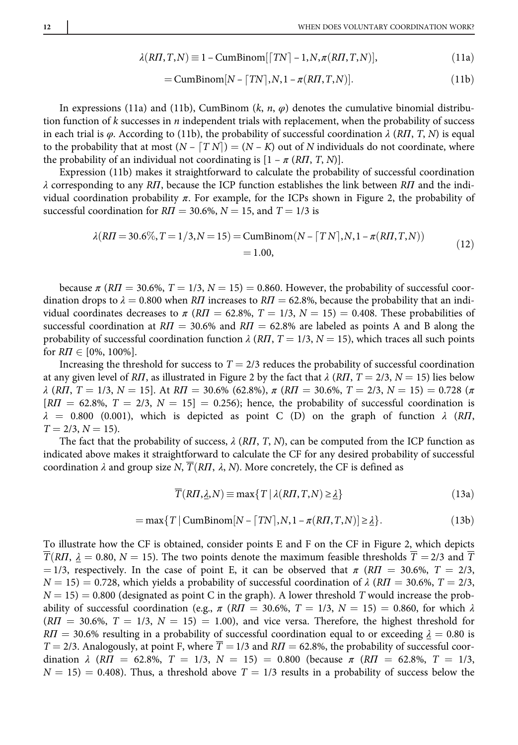$$
\lambda(R\Pi, T, N) \equiv 1 - \text{CumBinom}[[TN] - 1, N, \pi(R\Pi, T, N)],\tag{11a}
$$

$$
= \text{CumBinom}[N - \lceil TN \rceil, N, 1 - \pi(R\Pi, T, N)]. \tag{11b}
$$

In expressions (11a) and (11b), CumBinom  $(k, n, \varphi)$  denotes the cumulative binomial distribution function of  $k$  successes in  $n$  independent trials with replacement, when the probability of success in each trial is  $\varphi$ . According to (11b), the probability of successful coordination  $\lambda$  (RΠ, T, N) is equal to the probability that at most  $(N - \lfloor TN \rfloor) = (N - K)$  out of N individuals do not coordinate, where the probability of an individual not coordinating is  $[1 - \pi (RT, T, N)]$ .

Expression (11b) makes it straightforward to calculate the probability of successful coordination  $\lambda$  corresponding to any RΠ, because the ICP function establishes the link between RΠ and the individual coordination probability  $\pi$ . For example, for the ICPs shown in Figure 2, the probability of successful coordination for  $RII = 30.6\%$ ,  $N = 15$ , and  $T = 1/3$  is

$$
\lambda(R\Pi = 30.6\%, T = 1/3, N = 15) = \text{CumBinom}(N - \lceil TN \rceil, N, 1 - \pi(R\Pi, T, N))
$$
\n
$$
= 1.00,
$$
\n(12)

because  $\pi (R\Pi = 30.6\%, T = 1/3, N = 15) = 0.860$ . However, the probability of successful coordination drops to  $\lambda = 0.800$  when R*Π* increases to R*Π* = 62.8%, because the probability that an individual coordinates decreases to  $\pi$  (RII = 62.8%, T = 1/3, N = 15) = 0.408. These probabilities of successful coordination at  $RT = 30.6\%$  and  $RT = 62.8\%$  are labeled as points A and B along the probability of successful coordination function  $\lambda$  (RII, T = 1/3, N = 15), which traces all such points for  $R\Pi \in [0\%, 100\%]$ .

Increasing the threshold for success to  $T = 2/3$  reduces the probability of successful coordination at any given level of RΠ, as illustrated in Figure 2 by the fact that  $\lambda$  (RΠ, T = 2/3, N = 15) lies below  $\lambda$  (RII, T = 1/3, N = 15]. At RII = 30.6% (62.8%),  $\pi$  (RII = 30.6%, T = 2/3, N = 15) = 0.728 ( $\pi$ )  $\overline{R}$  = 62.8%,  $T = 2/3$ ,  $N = 15$  = 0.256); hence, the probability of successful coordination is  $\lambda = 0.800$  (0.001), which is depicted as point C (D) on the graph of function  $\lambda$  (RII,  $T = 2/3, N = 15$ .

The fact that the probability of success,  $\lambda$  (R*Π*, *T*, *N*), can be computed from the ICP function as indicated above makes it straightforward to calculate the CF for any desired probability of successful coordination  $\lambda$  and group size N,  $\overline{T}(RT, \lambda, N)$ . More concretely, the CF is defined as

$$
\overline{T}(R\Pi, \underline{\lambda}, N) \equiv \max\{T \mid \lambda(R\Pi, T, N) \ge \underline{\lambda}\}\tag{13a}
$$

$$
= \max\{T \mid \text{CumBinom}[N - \lceil TN \rceil, N, 1 - \pi(R\Pi, T, N)] \ge \underline{\lambda}\}. \tag{13b}
$$

To illustrate how the CF is obtained, consider points E and F on the CF in Figure 2, which depicts  $\overline{T}(R\Pi, \underline{\lambda} = 0.80, N = 15)$ . The two points denote the maximum feasible thresholds  $\overline{T} = 2/3$  and  $\overline{T}$ = 1/3, respectively. In the case of point E, it can be observed that  $\pi$  (R $\Pi$  = 30.6%, T = 2/3,  $N = 15$ ) = 0.728, which yields a probability of successful coordination of  $\lambda$  (RII = 30.6%, T = 2/3,  $N = 15$ ) = 0.800 (designated as point C in the graph). A lower threshold T would increase the probability of successful coordination (e.g.,  $\pi$  (RII = 30.6%, T = 1/3, N = 15) = 0.860, for which  $\lambda$  $(RII = 30.6\%, T = 1/3, N = 15) = 1.00$ , and vice versa. Therefore, the highest threshold for  $R\dot{\rm H} = 30.6\%$  resulting in a probability of successful coordination equal to or exceeding  $\dot{\rm A} = 0.80$  is  $T = 2/3$ . Analogously, at point F, where  $\overline{T} = 1/3$  and  $\overline{RI} = 62.8\%$ , the probability of successful coordination  $\lambda$  (RII = 62.8%, T = 1/3, N = 15) = 0.800 (because  $\pi$  (RII = 62.8%, T = 1/3,  $N = 15$  = 0.408). Thus, a threshold above  $T = 1/3$  results in a probability of success below the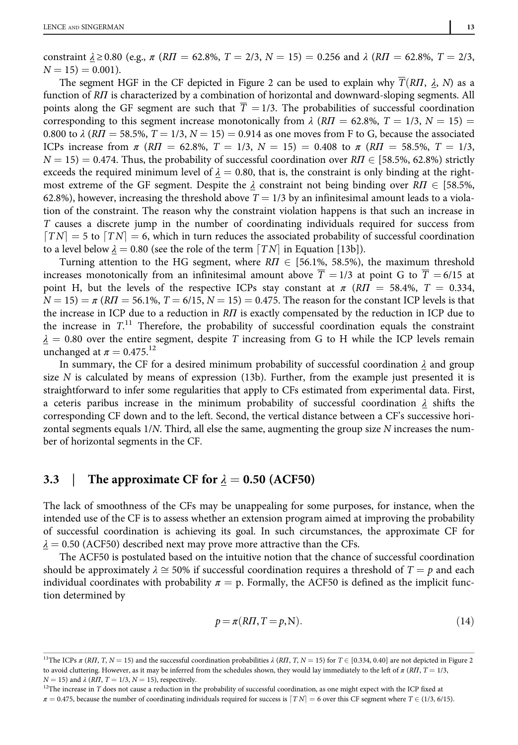constraint  $\lambda \ge 0.80$  (e.g.,  $\pi$  (RII = 62.8%, T = 2/3, N = 15) = 0.256 and  $\lambda$  (RII = 62.8%, T = 2/3,  $N = 15$ ) = 0.001).

The segment HGF in the CF depicted in Figure 2 can be used to explain why  $\overline{T}(R\Pi, \lambda, N)$  as a function of RΠ is characterized by a combination of horizontal and downward-sloping segments. All points along the GF segment are such that  $\overline{T} = 1/3$ . The probabilities of successful coordination corresponding to this segment increase monotonically from  $\lambda$  (RII = 62.8%, T = 1/3, N = 15) = 0.800 to  $\lambda$  (RII = 58.5%, T = 1/3, N = 15) = 0.914 as one moves from F to G, because the associated ICPs increase from  $\pi$  (RII = 62.8%, T = 1/3, N = 15) = 0.408 to  $\pi$  (RII = 58.5%, T = 1/3,  $N = 15$ ) = 0.474. Thus, the probability of successful coordination over  $R\bar{I} \in [58.5\%, 62.8\%]$  strictly exceeds the required minimum level of  $\lambda = 0.80$ , that is, the constraint is only binding at the rightmost extreme of the GF segment. Despite the  $\lambda$  constraint not being binding over  $R\Gamma$   $\in$  [58.5%, 62.8%), however, increasing the threshold above  $T = 1/3$  by an infinitesimal amount leads to a violation of the constraint. The reason why the constraint violation happens is that such an increase in T causes a discrete jump in the number of coordinating individuals required for success from  $\lfloor TN \rfloor = 5$  to  $\lfloor TN \rfloor = 6$ , which in turn reduces the associated probability of successful coordination to a level below  $\lambda = 0.80$  (see the role of the term  $\lceil TN \rceil$  in Equation [13b]).

Turning attention to the HG segment, where  $R\Pi \in [56.1\%, 58.5\%]$ , the maximum threshold increases monotonically from an infinitesimal amount above  $\overline{T} = 1/3$  at point G to  $\overline{T} = 6/15$  at point H, but the levels of the respective ICPs stay constant at  $\pi$  (RII = 58.4%, T = 0.334,  $N = 15$ ) =  $\pi (R\Pi = 56.1\%, T = 6/15, N = 15) = 0.475$ . The reason for the constant ICP levels is that the increase in ICP due to a reduction in RΠ is exactly compensated by the reduction in ICP due to the increase in  $T$ .<sup>11</sup> Therefore, the probability of successful coordination equals the constraint  $\lambda = 0.80$  over the entire segment, despite T increasing from G to H while the ICP levels remain unchanged at  $\pi = 0.475$ <sup>12</sup>

In summary, the CF for a desired minimum probability of successful coordination  $\lambda$  and group size  $N$  is calculated by means of expression (13b). Further, from the example just presented it is straightforward to infer some regularities that apply to CFs estimated from experimental data. First, a ceteris paribus increase in the minimum probability of successful coordination  $\lambda$  shifts the corresponding CF down and to the left. Second, the vertical distance between a CF's successive horizontal segments equals  $1/N$ . Third, all else the same, augmenting the group size N increases the number of horizontal segments in the CF.

#### 3.3 The approximate CF for  $\lambda = 0.50$  (ACF50)

The lack of smoothness of the CFs may be unappealing for some purposes, for instance, when the intended use of the CF is to assess whether an extension program aimed at improving the probability of successful coordination is achieving its goal. In such circumstances, the approximate CF for  $\lambda = 0.50$  (ACF50) described next may prove more attractive than the CFs.

The ACF50 is postulated based on the intuitive notion that the chance of successful coordination should be approximately  $\lambda \cong 50\%$  if successful coordination requires a threshold of  $T = p$  and each individual coordinates with probability  $\pi = p$ . Formally, the ACF50 is defined as the implicit function determined by

$$
p = \pi(R\Pi, T = p, N). \tag{14}
$$

<sup>&</sup>lt;sup>11</sup>The ICPs  $\pi$  (R*Π*, *T*, *N* = 15) and the successful coordination probabilities  $\lambda$  (R*Π*, *T*, *N* = 15) for *T*  $\in$  [0.334, 0.40] are not depicted in Figure 2 to avoid cluttering. However, as it may be inferred from the schedules shown, they would lay immediately to the left of  $\pi (R\Pi, T = 1/3, T = 1/3)$  $N = 15$ ) and  $\lambda$  (RII,  $T = 1/3$ ,  $N = 15$ ), respectively.

 $^{12}$  The increase in  $\cal T$  does not cause a reduction in the probability of successful coordination, as one might expect with the ICP fixed at  $\pi = 0.475$ , because the number of coordinating individuals required for success is  $\lfloor TN \rfloor = 6$  over this CF segment where  $T \in (1/3, 6/15)$ .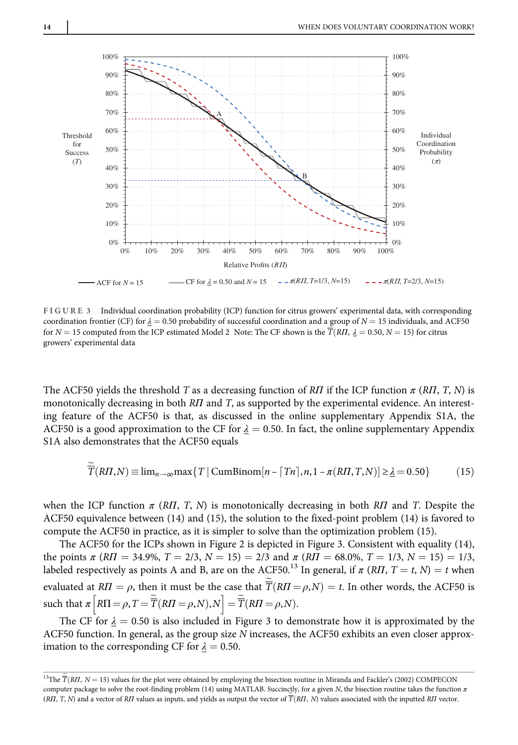

FIGURE 3 Individual coordination probability (ICP) function for citrus growers' experimental data, with corresponding coordination frontier (CF) for  $\lambda = 0.50$  probability of successful coordination and a group of  $N = 15$  individuals, and ACF50 for  $N = 15$  computed from the ICP estimated Model 2 Note: The CF shown is the  $\overline{T}(R\Pi, \lambda = 0.50, N = 15)$  for citrus growers' experimental data

The ACF50 yields the threshold T as a decreasing function of RΠ if the ICP function  $\pi$  (RΠ, T, N) is monotonically decreasing in both R*Π* and *T*, as supported by the experimental evidence. An interesting feature of the ACF50 is that, as discussed in the online supplementary Appendix S1A, the ACF50 is a good approximation to the CF for  $\lambda = 0.50$ . In fact, the online supplementary Appendix S1A also demonstrates that the ACF50 equals

$$
\overline{T}(R\Pi, N) \equiv \lim_{n \to \infty} \max\{T \mid \text{CumBinom}[n - \lceil Tn \rceil, n, 1 - \pi(R\Pi, T, N)] \ge \underline{\lambda} = 0.50\}
$$
 (15)

when the ICP function  $\pi$  (RΠ, T, N) is monotonically decreasing in both RΠ and T. Despite the ACF50 equivalence between (14) and (15), the solution to the fixed-point problem (14) is favored to compute the ACF50 in practice, as it is simpler to solve than the optimization problem (15).

The ACF50 for the ICPs shown in Figure 2 is depicted in Figure 3. Consistent with equality (14), the points  $\pi (R\Pi = 34.9\%, T = 2/3, N = 15) = 2/3$  and  $\pi (R\Pi = 68.0\%, T = 1/3, N = 15) = 1/3$ , labeled respectively as points A and B, are on the ACF50.<sup>13</sup> In general, if  $\pi$  (RΠ, T = t, N) = t when evaluated at  $R\Pi=\rho,$  then it must be the case that  $\overline{T}(R\Pi=\rho,N)=t.$  In other words, the ACF50 is such that  $\pi \left[ RT = \rho, T = \overline{\widetilde{T}} (RT = \rho, N), N \right] = \overline{\widetilde{T}} (RT = \rho, N).$ 

The CF for  $\lambda = 0.50$  is also included in Figure 3 to demonstrate how it is approximated by the ACF50 function. In general, as the group size N increases, the ACF50 exhibits an even closer approximation to the corresponding CF for  $\lambda = 0.50$ .

<sup>&</sup>lt;sup>13</sup>The  $\overline{T}(RII, N=15)$  values for the plot were obtained by employing the bisection routine in Miranda and Fackler's (2002) COMPECON computer package to solve the root-finding problem (14) using MATLAB. Succinctly, for a given N, the bisection routine takes the function  $\pi$ (RΠ, T, N) and a vector of RΠ values as inputs, and yields as output the vector of  $\overline{T}(R\Pi, N)$  values associated with the inputted RП vector.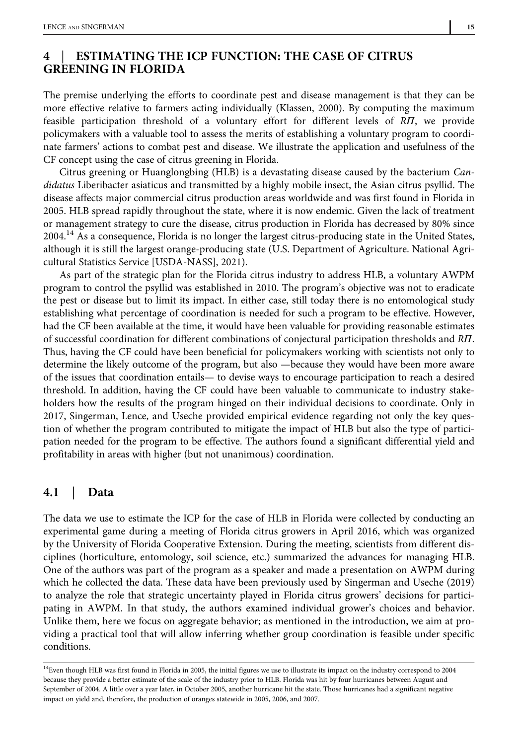# 4 | ESTIMATING THE ICP FUNCTION: THE CASE OF CITRUS GREENING IN FLORIDA

The premise underlying the efforts to coordinate pest and disease management is that they can be more effective relative to farmers acting individually (Klassen, 2000). By computing the maximum feasible participation threshold of a voluntary effort for different levels of RΠ, we provide policymakers with a valuable tool to assess the merits of establishing a voluntary program to coordinate farmers' actions to combat pest and disease. We illustrate the application and usefulness of the CF concept using the case of citrus greening in Florida.

Citrus greening or Huanglongbing (HLB) is a devastating disease caused by the bacterium Candidatus Liberibacter asiaticus and transmitted by a highly mobile insect, the Asian citrus psyllid. The disease affects major commercial citrus production areas worldwide and was first found in Florida in 2005. HLB spread rapidly throughout the state, where it is now endemic. Given the lack of treatment or management strategy to cure the disease, citrus production in Florida has decreased by 80% since 2004.<sup>14</sup> As a consequence, Florida is no longer the largest citrus-producing state in the United States, although it is still the largest orange-producing state (U.S. Department of Agriculture. National Agricultural Statistics Service [USDA-NASS], 2021).

As part of the strategic plan for the Florida citrus industry to address HLB, a voluntary AWPM program to control the psyllid was established in 2010. The program's objective was not to eradicate the pest or disease but to limit its impact. In either case, still today there is no entomological study establishing what percentage of coordination is needed for such a program to be effective. However, had the CF been available at the time, it would have been valuable for providing reasonable estimates of successful coordination for different combinations of conjectural participation thresholds and RΠ. Thus, having the CF could have been beneficial for policymakers working with scientists not only to determine the likely outcome of the program, but also —because they would have been more aware of the issues that coordination entails— to devise ways to encourage participation to reach a desired threshold. In addition, having the CF could have been valuable to communicate to industry stakeholders how the results of the program hinged on their individual decisions to coordinate. Only in 2017, Singerman, Lence, and Useche provided empirical evidence regarding not only the key question of whether the program contributed to mitigate the impact of HLB but also the type of participation needed for the program to be effective. The authors found a significant differential yield and profitability in areas with higher (but not unanimous) coordination.

#### 4.1 | Data

The data we use to estimate the ICP for the case of HLB in Florida were collected by conducting an experimental game during a meeting of Florida citrus growers in April 2016, which was organized by the University of Florida Cooperative Extension. During the meeting, scientists from different disciplines (horticulture, entomology, soil science, etc.) summarized the advances for managing HLB. One of the authors was part of the program as a speaker and made a presentation on AWPM during which he collected the data. These data have been previously used by Singerman and Useche (2019) to analyze the role that strategic uncertainty played in Florida citrus growers' decisions for participating in AWPM. In that study, the authors examined individual grower's choices and behavior. Unlike them, here we focus on aggregate behavior; as mentioned in the introduction, we aim at providing a practical tool that will allow inferring whether group coordination is feasible under specific conditions.

<sup>&</sup>lt;sup>14</sup>Even though HLB was first found in Florida in 2005, the initial figures we use to illustrate its impact on the industry correspond to 2004 because they provide a better estimate of the scale of the industry prior to HLB. Florida was hit by four hurricanes between August and September of 2004. A little over a year later, in October 2005, another hurricane hit the state. Those hurricanes had a significant negative impact on yield and, therefore, the production of oranges statewide in 2005, 2006, and 2007.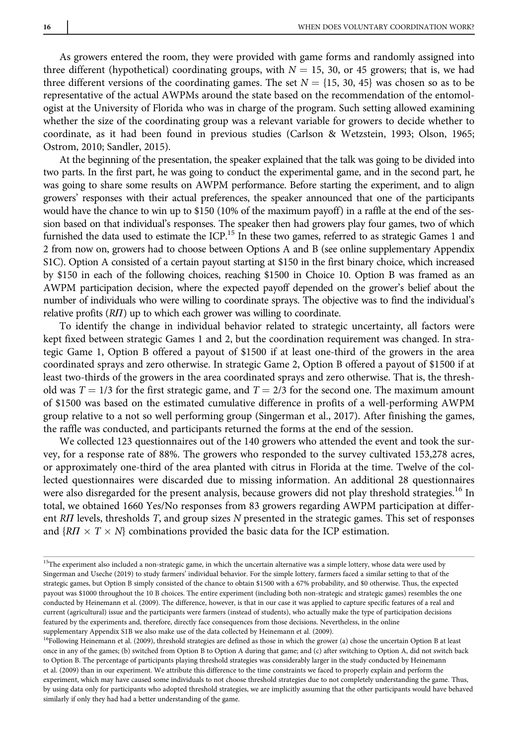As growers entered the room, they were provided with game forms and randomly assigned into three different (hypothetical) coordinating groups, with  $N = 15$ , 30, or 45 growers; that is, we had three different versions of the coordinating games. The set  $N = \{15, 30, 45\}$  was chosen so as to be representative of the actual AWPMs around the state based on the recommendation of the entomologist at the University of Florida who was in charge of the program. Such setting allowed examining whether the size of the coordinating group was a relevant variable for growers to decide whether to coordinate, as it had been found in previous studies (Carlson & Wetzstein, 1993; Olson, 1965; Ostrom, 2010; Sandler, 2015).

At the beginning of the presentation, the speaker explained that the talk was going to be divided into two parts. In the first part, he was going to conduct the experimental game, and in the second part, he was going to share some results on AWPM performance. Before starting the experiment, and to align growers' responses with their actual preferences, the speaker announced that one of the participants would have the chance to win up to \$150 (10% of the maximum payoff) in a raffle at the end of the session based on that individual's responses. The speaker then had growers play four games, two of which furnished the data used to estimate the ICP.<sup>15</sup> In these two games, referred to as strategic Games 1 and 2 from now on, growers had to choose between Options A and B (see online supplementary Appendix S1C). Option A consisted of a certain payout starting at \$150 in the first binary choice, which increased by \$150 in each of the following choices, reaching \$1500 in Choice 10. Option B was framed as an AWPM participation decision, where the expected payoff depended on the grower's belief about the number of individuals who were willing to coordinate sprays. The objective was to find the individual's relative profits (RΠ) up to which each grower was willing to coordinate.

To identify the change in individual behavior related to strategic uncertainty, all factors were kept fixed between strategic Games 1 and 2, but the coordination requirement was changed. In strategic Game 1, Option B offered a payout of \$1500 if at least one-third of the growers in the area coordinated sprays and zero otherwise. In strategic Game 2, Option B offered a payout of \$1500 if at least two-thirds of the growers in the area coordinated sprays and zero otherwise. That is, the threshold was  $T = 1/3$  for the first strategic game, and  $T = 2/3$  for the second one. The maximum amount of \$1500 was based on the estimated cumulative difference in profits of a well-performing AWPM group relative to a not so well performing group (Singerman et al., 2017). After finishing the games, the raffle was conducted, and participants returned the forms at the end of the session.

We collected 123 questionnaires out of the 140 growers who attended the event and took the survey, for a response rate of 88%. The growers who responded to the survey cultivated 153,278 acres, or approximately one-third of the area planted with citrus in Florida at the time. Twelve of the collected questionnaires were discarded due to missing information. An additional 28 questionnaires were also disregarded for the present analysis, because growers did not play threshold strategies.<sup>16</sup> In total, we obtained 1660 Yes/No responses from 83 growers regarding AWPM participation at different RII levels, thresholds T, and group sizes N presented in the strategic games. This set of responses and  $\{R\mid T \times T \times N\}$  combinations provided the basic data for the ICP estimation.

<sup>&</sup>lt;sup>15</sup>The experiment also included a non-strategic game, in which the uncertain alternative was a simple lottery, whose data were used by Singerman and Useche (2019) to study farmers' individual behavior. For the simple lottery, farmers faced a similar setting to that of the strategic games, but Option B simply consisted of the chance to obtain \$1500 with a 67% probability, and \$0 otherwise. Thus, the expected payout was \$1000 throughout the 10 B choices. The entire experiment (including both non-strategic and strategic games) resembles the one conducted by Heinemann et al. (2009). The difference, however, is that in our case it was applied to capture specific features of a real and current (agricultural) issue and the participants were farmers (instead of students), who actually make the type of participation decisions featured by the experiments and, therefore, directly face consequences from those decisions. Nevertheless, in the online supplementary Appendix S1B we also make use of the data collected by Heinemann et al. (2009).

<sup>&</sup>lt;sup>16</sup>Following Heinemann et al. (2009), threshold strategies are defined as those in which the grower (a) chose the uncertain Option B at least once in any of the games; (b) switched from Option B to Option A during that game; and (c) after switching to Option A, did not switch back to Option B. The percentage of participants playing threshold strategies was considerably larger in the study conducted by Heinemann et al. (2009) than in our experiment. We attribute this difference to the time constraints we faced to properly explain and perform the experiment, which may have caused some individuals to not choose threshold strategies due to not completely understanding the game. Thus, by using data only for participants who adopted threshold strategies, we are implicitly assuming that the other participants would have behaved similarly if only they had had a better understanding of the game.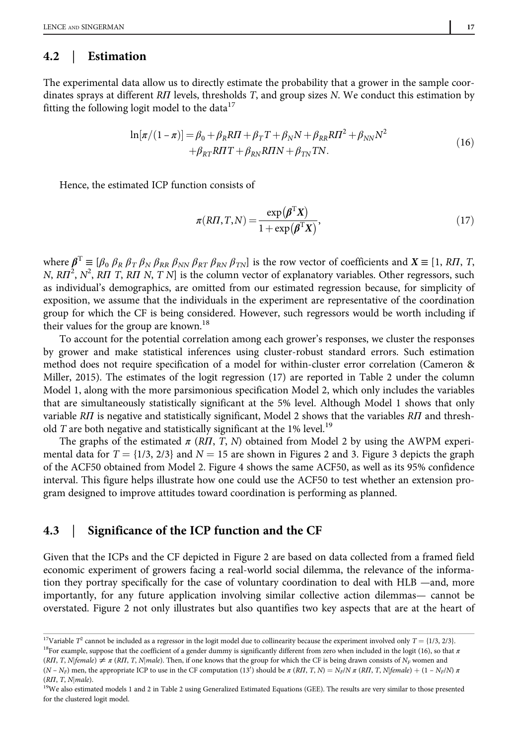#### 4.2 | Estimation

The experimental data allow us to directly estimate the probability that a grower in the sample coordinates sprays at different RH levels, thresholds T, and group sizes N. We conduct this estimation by fitting the following logit model to the data $17$ 

$$
\ln[\pi/(1-\pi)] = \beta_0 + \beta_R RTI + \beta_T T + \beta_N N + \beta_{RR} RT^2 + \beta_{NN} N^2
$$
  
+  $\beta_{RT} RTT + \beta_{RN} RTIN + \beta_{TN} TN.$  (16)

Hence, the estimated ICP function consists of

$$
\pi(R\Pi, T, N) = \frac{\exp(\pmb{\beta}^{\mathrm{T}}\mathbf{X})}{1 + \exp(\pmb{\beta}^{\mathrm{T}}\mathbf{X})},\tag{17}
$$

where  $\beta^T \equiv [\beta_0 \beta_R \beta_T \beta_N \beta_{RR} \beta_{NN} \beta_{RT} \beta_{RN} \beta_{TN}]$  is the row vector of coefficients and  $X \equiv [1, RI, T, J]$ N, R $\Pi^2$ , N<sup>2</sup>, R $\Pi$  T, R $\Pi$  N, T N] is the column vector of explanatory variables. Other regressors, such as individual's demographics, are omitted from our estimated regression because, for simplicity of exposition, we assume that the individuals in the experiment are representative of the coordination group for which the CF is being considered. However, such regressors would be worth including if their values for the group are known.<sup>18</sup>

To account for the potential correlation among each grower's responses, we cluster the responses by grower and make statistical inferences using cluster-robust standard errors. Such estimation method does not require specification of a model for within-cluster error correlation (Cameron & Miller, 2015). The estimates of the logit regression (17) are reported in Table 2 under the column Model 1, along with the more parsimonious specification Model 2, which only includes the variables that are simultaneously statistically significant at the 5% level. Although Model 1 shows that only variable RΠ is negative and statistically significant, Model 2 shows that the variables RΠ and threshold T are both negative and statistically significant at the 1% level.<sup>19</sup>

The graphs of the estimated  $\pi$  (R*Π*, *T*, *N*) obtained from Model 2 by using the AWPM experimental data for  $T = \{1/3, 2/3\}$  and  $N = 15$  are shown in Figures 2 and 3. Figure 3 depicts the graph of the ACF50 obtained from Model 2. Figure 4 shows the same ACF50, as well as its 95% confidence interval. This figure helps illustrate how one could use the ACF50 to test whether an extension program designed to improve attitudes toward coordination is performing as planned.

#### 4.3 | Significance of the ICP function and the CF

Given that the ICPs and the CF depicted in Figure 2 are based on data collected from a framed field economic experiment of growers facing a real-world social dilemma, the relevance of the information they portray specifically for the case of voluntary coordination to deal with HLB —and, more importantly, for any future application involving similar collective action dilemmas— cannot be overstated. Figure 2 not only illustrates but also quantifies two key aspects that are at the heart of

 $^{17}$ Variable  $T^2$  cannot be included as a regressor in the logit model due to collinearity because the experiment involved only  $T = \{1/3, 2/3\}$ .  $^{18}$  For example, suppose that the coefficient of a gender dummy is significantly different from zero when included in the logit (16), so that π

 $(R\Pi, T, N | female) \neq \pi (R\Pi, T, N | male)$ . Then, if one knows that the group for which the CF is being drawn consists of  $N_F$  women and  $(N - N_F)$  men, the appropriate ICP to use in the CF computation (13') should be  $\pi (RII, T, N) = N_F/N \pi (RII, T, N)$  female) + (1 –  $N_F/N \pi$ ) ( $R\Pi$ , T, N|male).

<sup>&</sup>lt;sup>19</sup>We also estimated models 1 and 2 in Table 2 using Generalized Estimated Equations (GEE). The results are very similar to those presented for the clustered logit model.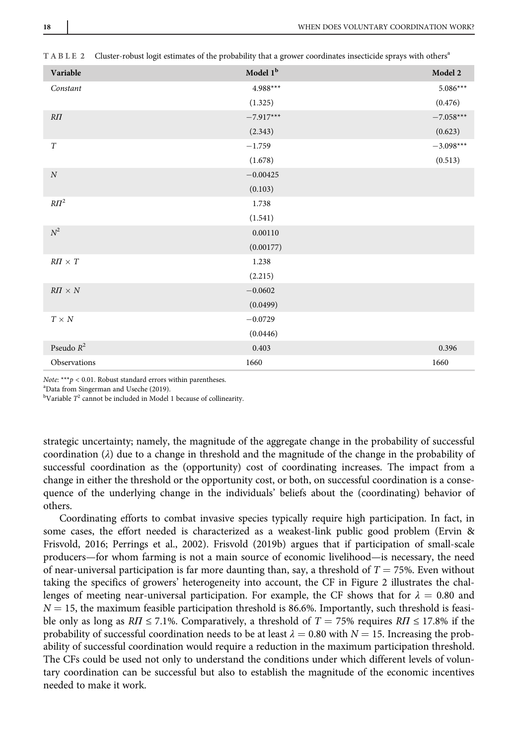| Variable              | Model 1 <sup>b</sup> | Model 2     |
|-----------------------|----------------------|-------------|
| Constant              | 4.988***             | $5.086***$  |
|                       | (1.325)              | (0.476)     |
| $R\Pi$                | $-7.917***$          | $-7.058***$ |
|                       | (2.343)              | (0.623)     |
| T                     | $-1.759$             | $-3.098***$ |
|                       | (1.678)              | (0.513)     |
| $\cal N$              | $-0.00425$           |             |
|                       | (0.103)              |             |
| $R\Pi^2$              | 1.738                |             |
|                       | (1.541)              |             |
| $\mathbb{N}^2$        | 0.00110              |             |
|                       | (0.00177)            |             |
| $R\pi \times T$       | 1.238                |             |
|                       | (2.215)              |             |
| $R\varPi\times N$     | $-0.0602$            |             |
|                       | (0.0499)             |             |
| $T \times N$          | $-0.0729$            |             |
|                       | (0.0446)             |             |
| Pseudo $\mathbb{R}^2$ | 0.403                | 0.396       |
| Observations          | 1660                 | 1660        |
|                       |                      |             |

TABLE 2 Cluster-robust logit estimates of the probability that a grower coordinates insecticide sprays with others<sup>a</sup>

Note: \*\*\* $p < 0.01$ . Robust standard errors within parentheses.

a Data from Singerman and Useche (2019).

 $b$ Variable  $T^2$  cannot be included in Model 1 because of collinearity.

strategic uncertainty; namely, the magnitude of the aggregate change in the probability of successful coordination  $(\lambda)$  due to a change in threshold and the magnitude of the change in the probability of successful coordination as the (opportunity) cost of coordinating increases. The impact from a change in either the threshold or the opportunity cost, or both, on successful coordination is a consequence of the underlying change in the individuals' beliefs about the (coordinating) behavior of others.

Coordinating efforts to combat invasive species typically require high participation. In fact, in some cases, the effort needed is characterized as a weakest-link public good problem (Ervin & Frisvold, 2016; Perrings et al., 2002). Frisvold (2019b) argues that if participation of small-scale producers—for whom farming is not a main source of economic livelihood—is necessary, the need of near-universal participation is far more daunting than, say, a threshold of  $T = 75\%$ . Even without taking the specifics of growers' heterogeneity into account, the CF in Figure 2 illustrates the challenges of meeting near-universal participation. For example, the CF shows that for  $\lambda = 0.80$  and  $N = 15$ , the maximum feasible participation threshold is 86.6%. Importantly, such threshold is feasible only as long as  $R\bar{T} \le 7.1\%$ . Comparatively, a threshold of  $T = 75\%$  requires  $R\bar{T} \le 17.8\%$  if the probability of successful coordination needs to be at least  $\lambda = 0.80$  with  $N = 15$ . Increasing the probability of successful coordination would require a reduction in the maximum participation threshold. The CFs could be used not only to understand the conditions under which different levels of voluntary coordination can be successful but also to establish the magnitude of the economic incentives needed to make it work.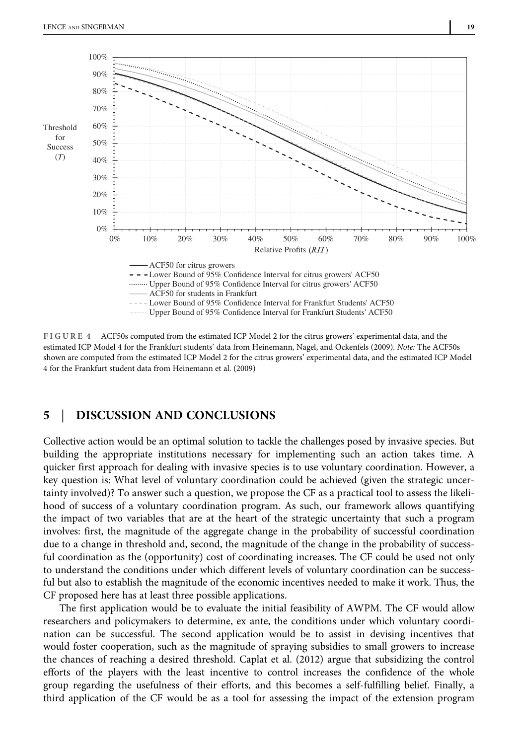

FIGURE 4 ACF50s computed from the estimated ICP Model 2 for the citrus growers' experimental data, and the estimated ICP Model 4 for the Frankfurt students' data from Heinemann, Nagel, and Ockenfels (2009). Note: The ACF50s shown are computed from the estimated ICP Model 2 for the citrus growers' experimental data, and the estimated ICP Model 4 for the Frankfurt student data from Heinemann et al. (2009)

#### 5 | DISCUSSION AND CONCLUSIONS

Collective action would be an optimal solution to tackle the challenges posed by invasive species. But building the appropriate institutions necessary for implementing such an action takes time. A quicker first approach for dealing with invasive species is to use voluntary coordination. However, a key question is: What level of voluntary coordination could be achieved (given the strategic uncertainty involved)? To answer such a question, we propose the CF as a practical tool to assess the likelihood of success of a voluntary coordination program. As such, our framework allows quantifying the impact of two variables that are at the heart of the strategic uncertainty that such a program involves: first, the magnitude of the aggregate change in the probability of successful coordination due to a change in threshold and, second, the magnitude of the change in the probability of successful coordination as the (opportunity) cost of coordinating increases. The CF could be used not only to understand the conditions under which different levels of voluntary coordination can be successful but also to establish the magnitude of the economic incentives needed to make it work. Thus, the CF proposed here has at least three possible applications.

The first application would be to evaluate the initial feasibility of AWPM. The CF would allow researchers and policymakers to determine, ex ante, the conditions under which voluntary coordination can be successful. The second application would be to assist in devising incentives that would foster cooperation, such as the magnitude of spraying subsidies to small growers to increase the chances of reaching a desired threshold. Caplat et al. (2012) argue that subsidizing the control efforts of the players with the least incentive to control increases the confidence of the whole group regarding the usefulness of their efforts, and this becomes a self-fulfilling belief. Finally, a third application of the CF would be as a tool for assessing the impact of the extension program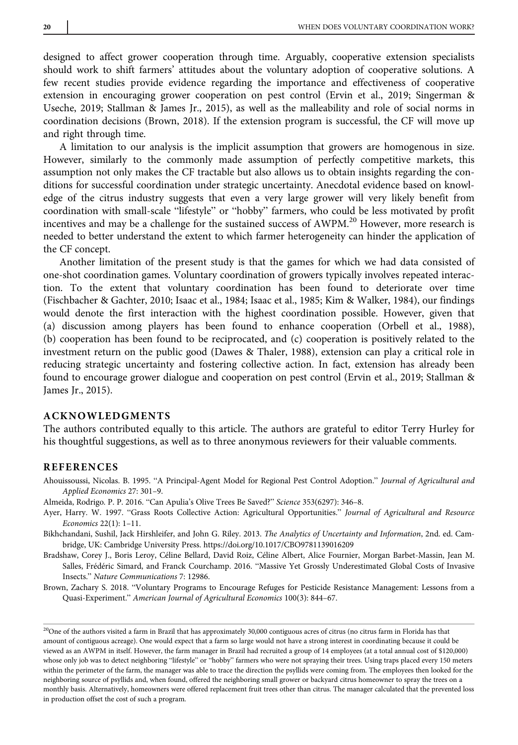designed to affect grower cooperation through time. Arguably, cooperative extension specialists should work to shift farmers' attitudes about the voluntary adoption of cooperative solutions. A few recent studies provide evidence regarding the importance and effectiveness of cooperative extension in encouraging grower cooperation on pest control (Ervin et al., 2019; Singerman & Useche, 2019; Stallman & James Jr., 2015), as well as the malleability and role of social norms in coordination decisions (Brown, 2018). If the extension program is successful, the CF will move up and right through time.

A limitation to our analysis is the implicit assumption that growers are homogenous in size. However, similarly to the commonly made assumption of perfectly competitive markets, this assumption not only makes the CF tractable but also allows us to obtain insights regarding the conditions for successful coordination under strategic uncertainty. Anecdotal evidence based on knowledge of the citrus industry suggests that even a very large grower will very likely benefit from coordination with small-scale "lifestyle" or "hobby" farmers, who could be less motivated by profit incentives and may be a challenge for the sustained success of AWPM.<sup>20</sup> However, more research is needed to better understand the extent to which farmer heterogeneity can hinder the application of the CF concept.

Another limitation of the present study is that the games for which we had data consisted of one-shot coordination games. Voluntary coordination of growers typically involves repeated interaction. To the extent that voluntary coordination has been found to deteriorate over time (Fischbacher & Gachter, 2010; Isaac et al., 1984; Isaac et al., 1985; Kim & Walker, 1984), our findings would denote the first interaction with the highest coordination possible. However, given that (a) discussion among players has been found to enhance cooperation (Orbell et al., 1988), (b) cooperation has been found to be reciprocated, and (c) cooperation is positively related to the investment return on the public good (Dawes & Thaler, 1988), extension can play a critical role in reducing strategic uncertainty and fostering collective action. In fact, extension has already been found to encourage grower dialogue and cooperation on pest control (Ervin et al., 2019; Stallman & James Jr., 2015).

#### ACKNOWLEDGMENTS

The authors contributed equally to this article. The authors are grateful to editor Terry Hurley for his thoughtful suggestions, as well as to three anonymous reviewers for their valuable comments.

#### REFERENCES

Ahouissoussi, Nicolas. B. 1995. "A Principal-Agent Model for Regional Pest Control Adoption." Journal of Agricultural and Applied Economics 27: 301–9.

Almeida, Rodrigo. P. P. 2016. "Can Apulia's Olive Trees Be Saved?" Science 353(6297): 346–8.

Ayer, Harry. W. 1997. "Grass Roots Collective Action: Agricultural Opportunities." Journal of Agricultural and Resource Economics 22(1): 1–11.

Bikhchandani, Sushil, Jack Hirshleifer, and John G. Riley. 2013. The Analytics of Uncertainty and Information, 2nd. ed. Cambridge, UK: Cambridge University Press.<https://doi.org/10.1017/CBO9781139016209>

Bradshaw, Corey J., Boris Leroy, Céline Bellard, David Roiz, Céline Albert, Alice Fournier, Morgan Barbet-Massin, Jean M. Salles, Frédéric Simard, and Franck Courchamp. 2016. "Massive Yet Grossly Underestimated Global Costs of Invasive Insects." Nature Communications 7: 12986.

Brown, Zachary S. 2018. "Voluntary Programs to Encourage Refuges for Pesticide Resistance Management: Lessons from a Quasi-Experiment." American Journal of Agricultural Economics 100(3): 844–67.

<sup>&</sup>lt;sup>20</sup>One of the authors visited a farm in Brazil that has approximately 30,000 contiguous acres of citrus (no citrus farm in Florida has that amount of contiguous acreage). One would expect that a farm so large would not have a strong interest in coordinating because it could be viewed as an AWPM in itself. However, the farm manager in Brazil had recruited a group of 14 employees (at a total annual cost of \$120,000) whose only job was to detect neighboring "lifestyle" or "hobby" farmers who were not spraying their trees. Using traps placed every 150 meters within the perimeter of the farm, the manager was able to trace the direction the psyllids were coming from. The employees then looked for the neighboring source of psyllids and, when found, offered the neighboring small grower or backyard citrus homeowner to spray the trees on a monthly basis. Alternatively, homeowners were offered replacement fruit trees other than citrus. The manager calculated that the prevented loss in production offset the cost of such a program.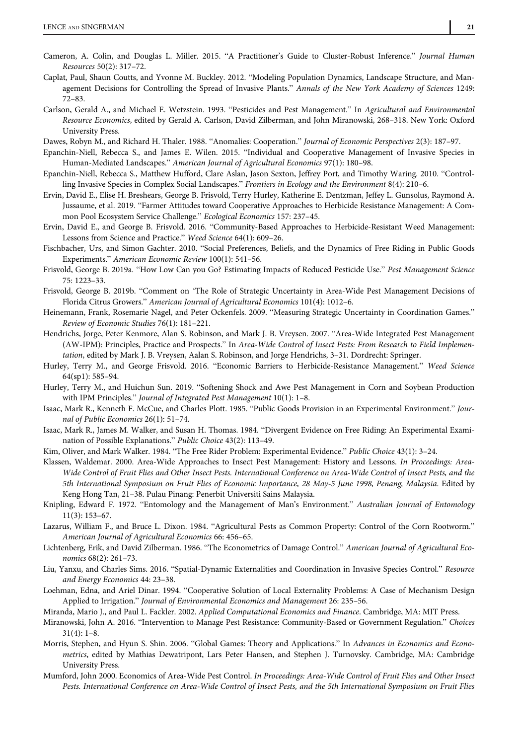- Cameron, A. Colin, and Douglas L. Miller. 2015. "A Practitioner's Guide to Cluster-Robust Inference." Journal Human Resources 50(2): 317–72.
- Caplat, Paul, Shaun Coutts, and Yvonne M. Buckley. 2012. "Modeling Population Dynamics, Landscape Structure, and Management Decisions for Controlling the Spread of Invasive Plants." Annals of the New York Academy of Sciences 1249: 72–83.
- Carlson, Gerald A., and Michael E. Wetzstein. 1993. "Pesticides and Pest Management." In Agricultural and Environmental Resource Economics, edited by Gerald A. Carlson, David Zilberman, and John Miranowski, 268–318. New York: Oxford University Press.

Dawes, Robyn M., and Richard H. Thaler. 1988. "Anomalies: Cooperation." Journal of Economic Perspectives 2(3): 187–97.

- Epanchin-Niell, Rebecca S., and James E. Wilen. 2015. "Individual and Cooperative Management of Invasive Species in Human-Mediated Landscapes." American Journal of Agricultural Economics 97(1): 180–98.
- Epanchin-Niell, Rebecca S., Matthew Hufford, Clare Aslan, Jason Sexton, Jeffrey Port, and Timothy Waring. 2010. "Controlling Invasive Species in Complex Social Landscapes." Frontiers in Ecology and the Environment 8(4): 210–6.
- Ervin, David E., Elise H. Breshears, George B. Frisvold, Terry Hurley, Katherine E. Dentzman, Jeffey L. Gunsolus, Raymond A. Jussaume, et al. 2019. "Farmer Attitudes toward Cooperative Approaches to Herbicide Resistance Management: A Common Pool Ecosystem Service Challenge." Ecological Economics 157: 237–45.
- Ervin, David E., and George B. Frisvold. 2016. "Community-Based Approaches to Herbicide-Resistant Weed Management: Lessons from Science and Practice." Weed Science 64(1): 609–26.
- Fischbacher, Urs, and Simon Gachter. 2010. "Social Preferences, Beliefs, and the Dynamics of Free Riding in Public Goods Experiments." American Economic Review 100(1): 541–56.
- Frisvold, George B. 2019a. "How Low Can you Go? Estimating Impacts of Reduced Pesticide Use." Pest Management Science 75: 1223–33.
- Frisvold, George B. 2019b. "Comment on 'The Role of Strategic Uncertainty in Area-Wide Pest Management Decisions of Florida Citrus Growers." American Journal of Agricultural Economics 101(4): 1012–6.
- Heinemann, Frank, Rosemarie Nagel, and Peter Ockenfels. 2009. "Measuring Strategic Uncertainty in Coordination Games." Review of Economic Studies 76(1): 181–221.
- Hendrichs, Jorge, Peter Kenmore, Alan S. Robinson, and Mark J. B. Vreysen. 2007. "Area-Wide Integrated Pest Management (AW-IPM): Principles, Practice and Prospects." In Area-Wide Control of Insect Pests: From Research to Field Implementation, edited by Mark J. B. Vreysen, Aalan S. Robinson, and Jorge Hendrichs, 3–31. Dordrecht: Springer.
- Hurley, Terry M., and George Frisvold. 2016. "Economic Barriers to Herbicide-Resistance Management." Weed Science 64(sp1): 585–94.
- Hurley, Terry M., and Huichun Sun. 2019. "Softening Shock and Awe Pest Management in Corn and Soybean Production with IPM Principles." Journal of Integrated Pest Management 10(1): 1–8.
- Isaac, Mark R., Kenneth F. McCue, and Charles Plott. 1985. "Public Goods Provision in an Experimental Environment." Journal of Public Economics 26(1): 51–74.
- Isaac, Mark R., James M. Walker, and Susan H. Thomas. 1984. "Divergent Evidence on Free Riding: An Experimental Examination of Possible Explanations." Public Choice 43(2): 113–49.
- Kim, Oliver, and Mark Walker. 1984. "The Free Rider Problem: Experimental Evidence." Public Choice 43(1): 3–24.
- Klassen, Waldemar. 2000. Area-Wide Approaches to Insect Pest Management: History and Lessons. In Proceedings: Area-Wide Control of Fruit Flies and Other Insect Pests. International Conference on Area-Wide Control of Insect Pests, and the 5th International Symposium on Fruit Flies of Economic Importance, 28 May-5 June 1998, Penang, Malaysia. Edited by Keng Hong Tan, 21–38. Pulau Pinang: Penerbit Universiti Sains Malaysia.
- Knipling, Edward F. 1972. "Entomology and the Management of Man's Environment." Australian Journal of Entomology 11(3): 153–67.
- Lazarus, William F., and Bruce L. Dixon. 1984. "Agricultural Pests as Common Property: Control of the Corn Rootworm." American Journal of Agricultural Economics 66: 456–65.
- Lichtenberg, Erik, and David Zilberman. 1986. "The Econometrics of Damage Control." American Journal of Agricultural Economics 68(2): 261–73.
- Liu, Yanxu, and Charles Sims. 2016. "Spatial-Dynamic Externalities and Coordination in Invasive Species Control." Resource and Energy Economics 44: 23–38.
- Loehman, Edna, and Ariel Dinar. 1994. "Cooperative Solution of Local Externality Problems: A Case of Mechanism Design Applied to Irrigation." Journal of Environmental Economics and Management 26: 235–56.
- Miranda, Mario J., and Paul L. Fackler. 2002. Applied Computational Economics and Finance. Cambridge, MA: MIT Press.
- Miranowski, John A. 2016. "Intervention to Manage Pest Resistance: Community-Based or Government Regulation." Choices  $31(4): 1-8.$
- Morris, Stephen, and Hyun S. Shin. 2006. "Global Games: Theory and Applications." In Advances in Economics and Econometrics, edited by Mathias Dewatripont, Lars Peter Hansen, and Stephen J. Turnovsky. Cambridge, MA: Cambridge University Press.
- Mumford, John 2000. Economics of Area-Wide Pest Control. In Proceedings: Area-Wide Control of Fruit Flies and Other Insect Pests. International Conference on Area-Wide Control of Insect Pests, and the 5th International Symposium on Fruit Flies